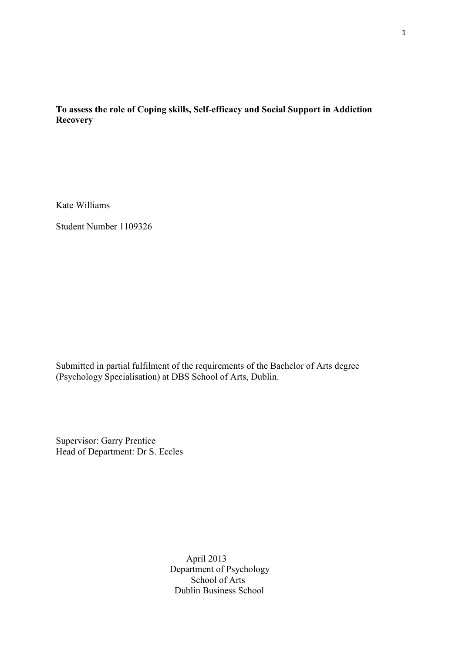# **To assess the role of Coping skills, Self-efficacy and Social Support in Addiction Recovery**

Kate Williams

Student Number 1109326

Submitted in partial fulfilment of the requirements of the Bachelor of Arts degree (Psychology Specialisation) at DBS School of Arts, Dublin.

Supervisor: Garry Prentice Head of Department: Dr S. Eccles

> April 2013 Department of Psychology School of Arts Dublin Business School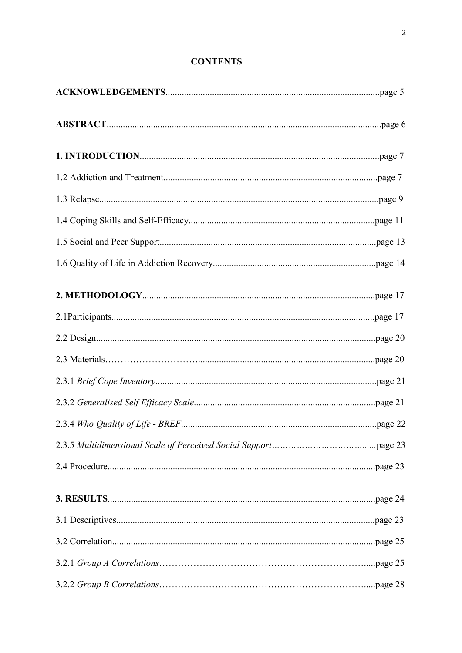# **CONTENTS**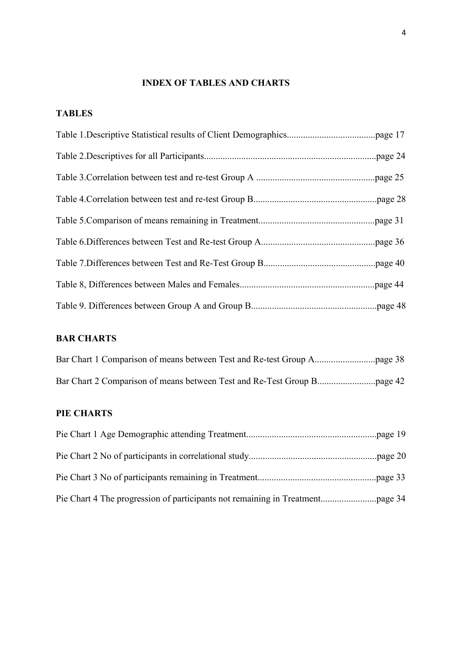# **INDEX OF TABLES AND CHARTS**

# **TABLES**

# **BAR CHARTS**

# **PIE CHARTS**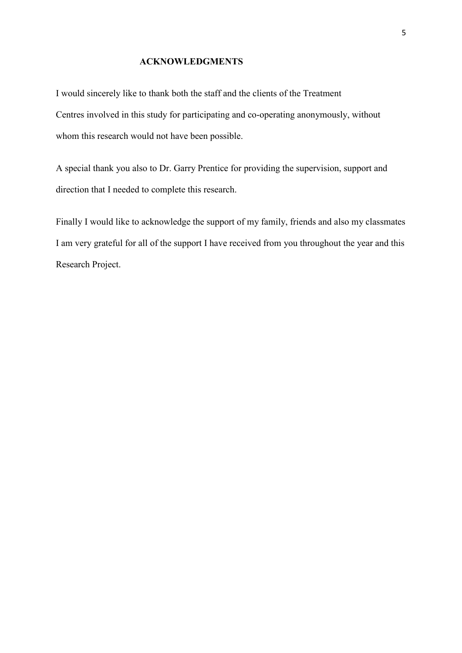## **ACKNOWLEDGMENTS**

I would sincerely like to thank both the staff and the clients of the Treatment Centres involved in this study for participating and co-operating anonymously, without whom this research would not have been possible.

A special thank you also to Dr. Garry Prentice for providing the supervision, support and direction that I needed to complete this research.

Finally I would like to acknowledge the support of my family, friends and also my classmates I am very grateful for all of the support I have received from you throughout the year and this Research Project.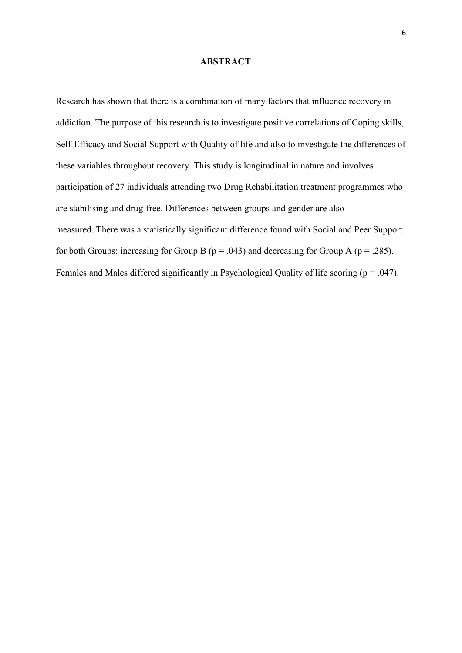#### **ABSTRACT**

Research has shown that there is a combination of many factors that influence recovery in addiction. The purpose of this research is to investigate positive correlations of Coping skills, Self-Efficacy and Social Support with Quality of life and also to investigate the differences of these variables throughout recovery. This study is longitudinal in nature and involves participation of 27 individuals attending two Drug Rehabilitation treatment programmes who are stabilising and drug-free. Differences between groups and gender are also measured. There was a statistically significant difference found with Social and Peer Support for both Groups; increasing for Group B ( $p = .043$ ) and decreasing for Group A ( $p = .285$ ). Females and Males differed significantly in Psychological Quality of life scoring ( $p = .047$ ).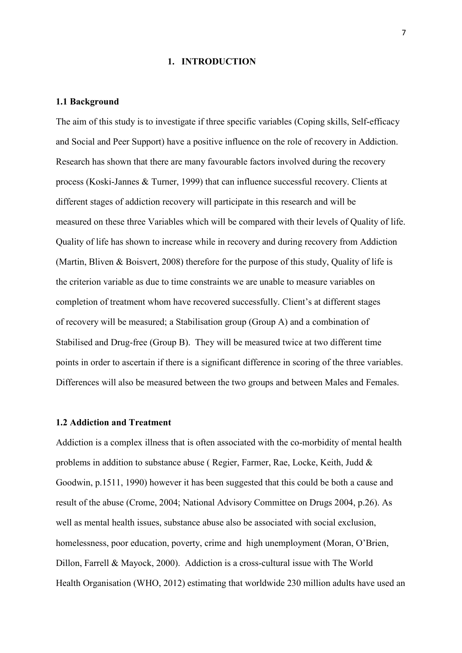#### **1. INTRODUCTION**

#### **1.1 Background**

The aim of this study is to investigate if three specific variables (Coping skills, Self-efficacy and Social and Peer Support) have a positive influence on the role of recovery in Addiction. Research has shown that there are many favourable factors involved during the recovery process (Koski-Jannes & Turner, 1999) that can influence successful recovery. Clients at different stages of addiction recovery will participate in this research and will be measured on these three Variables which will be compared with their levels of Quality of life. Quality of life has shown to increase while in recovery and during recovery from Addiction (Martin, Bliven & Boisvert, 2008) therefore for the purpose of this study, Quality of life is the criterion variable as due to time constraints we are unable to measure variables on completion of treatment whom have recovered successfully. Client's at different stages of recovery will be measured; a Stabilisation group (Group A) and a combination of Stabilised and Drug-free (Group B). They will be measured twice at two different time points in order to ascertain if there is a significant difference in scoring of the three variables. Differences will also be measured between the two groups and between Males and Females.

# **1.2 Addiction and Treatment**

Addiction is a complex illness that is often associated with the co-morbidity of mental health problems in addition to substance abuse ( Regier, Farmer, Rae, Locke, Keith, Judd & Goodwin, p.1511, 1990) however it has been suggested that this could be both a cause and result of the abuse (Crome, 2004; National Advisory Committee on Drugs 2004, p.26). As well as mental health issues, substance abuse also be associated with social exclusion, homelessness, poor education, poverty, crime and high unemployment (Moran, O'Brien, Dillon, Farrell & Mayock, 2000). Addiction is a cross-cultural issue with The World Health Organisation (WHO, 2012) estimating that worldwide 230 million adults have used an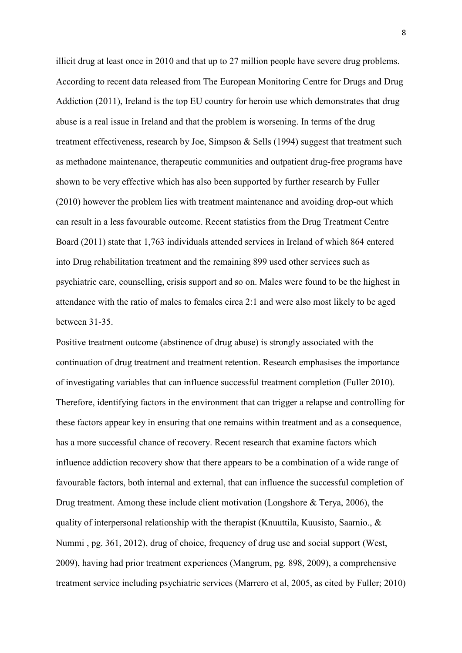illicit drug at least once in 2010 and that up to 27 million people have severe drug problems. According to recent data released from The European Monitoring Centre for Drugs and Drug Addiction (2011), Ireland is the top EU country for heroin use which demonstrates that drug abuse is a real issue in Ireland and that the problem is worsening. In terms of the drug treatment effectiveness, research by Joe, Simpson & Sells (1994) suggest that treatment such as methadone maintenance, therapeutic communities and outpatient drug-free programs have shown to be very effective which has also been supported by further research by Fuller (2010) however the problem lies with treatment maintenance and avoiding drop-out which can result in a less favourable outcome. Recent statistics from the Drug Treatment Centre Board (2011) state that 1,763 individuals attended services in Ireland of which 864 entered into Drug rehabilitation treatment and the remaining 899 used other services such as psychiatric care, counselling, crisis support and so on. Males were found to be the highest in attendance with the ratio of males to females circa 2:1 and were also most likely to be aged between 31-35.

Positive treatment outcome (abstinence of drug abuse) is strongly associated with the continuation of drug treatment and treatment retention. Research emphasises the importance of investigating variables that can influence successful treatment completion (Fuller 2010). Therefore, identifying factors in the environment that can trigger a relapse and controlling for these factors appear key in ensuring that one remains within treatment and as a consequence, has a more successful chance of recovery. Recent research that examine factors which influence addiction recovery show that there appears to be a combination of a wide range of favourable factors, both internal and external, that can influence the successful completion of Drug treatment. Among these include client motivation (Longshore & Terya, 2006), the quality of interpersonal relationship with the therapist (Knuuttila, Kuusisto, Saarnio., & Nummi , pg. 361, 2012), drug of choice, frequency of drug use and social support (West, 2009), having had prior treatment experiences (Mangrum, pg. 898, 2009), a comprehensive treatment service including psychiatric services (Marrero et al, 2005, as cited by Fuller; 2010)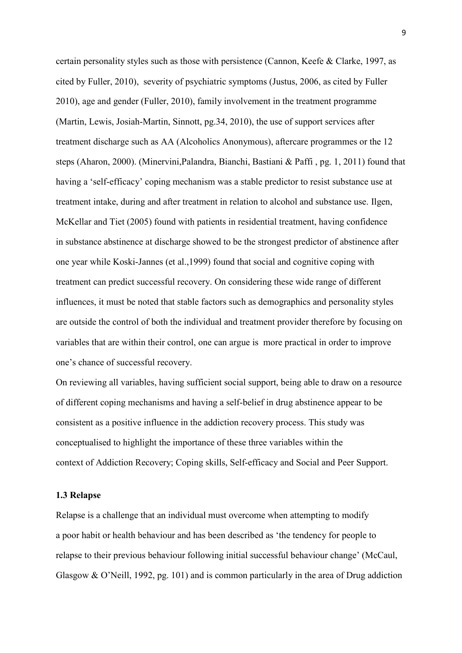certain personality styles such as those with persistence (Cannon, Keefe & Clarke, 1997, as cited by Fuller, 2010), severity of psychiatric symptoms (Justus, 2006, as cited by Fuller 2010), age and gender (Fuller, 2010), family involvement in the treatment programme (Martin, Lewis, Josiah-Martin, Sinnott, pg.34, 2010), the use of support services after treatment discharge such as AA (Alcoholics Anonymous), aftercare programmes or the 12 steps (Aharon, 2000). (Minervini,Palandra, Bianchi, Bastiani & Paffi , pg. 1, 2011) found that having a 'self-efficacy' coping mechanism was a stable predictor to resist substance use at treatment intake, during and after treatment in relation to alcohol and substance use. Ilgen, McKellar and Tiet (2005) found with patients in residential treatment, having confidence in substance abstinence at discharge showed to be the strongest predictor of abstinence after one year while Koski-Jannes (et al.,1999) found that social and cognitive coping with treatment can predict successful recovery. On considering these wide range of different influences, it must be noted that stable factors such as demographics and personality styles are outside the control of both the individual and treatment provider therefore by focusing on variables that are within their control, one can argue is more practical in order to improve one's chance of successful recovery.

On reviewing all variables, having sufficient social support, being able to draw on a resource of different coping mechanisms and having a self-belief in drug abstinence appear to be consistent as a positive influence in the addiction recovery process. This study was conceptualised to highlight the importance of these three variables within the context of Addiction Recovery; Coping skills, Self-efficacy and Social and Peer Support.

#### **1.3 Relapse**

Relapse is a challenge that an individual must overcome when attempting to modify a poor habit or health behaviour and has been described as 'the tendency for people to relapse to their previous behaviour following initial successful behaviour change' (McCaul, Glasgow & O'Neill, 1992, pg. 101) and is common particularly in the area of Drug addiction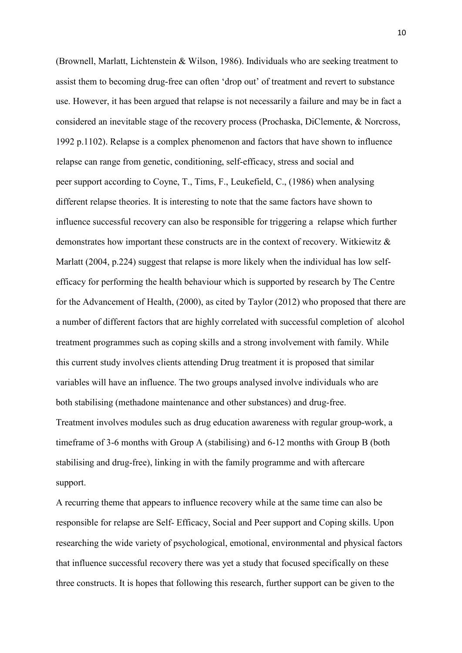(Brownell, Marlatt, Lichtenstein & Wilson, 1986). Individuals who are seeking treatment to assist them to becoming drug-free can often 'drop out' of treatment and revert to substance use. However, it has been argued that relapse is not necessarily a failure and may be in fact a considered an inevitable stage of the recovery process (Prochaska, DiClemente, & Norcross, 1992 p.1102). Relapse is a complex phenomenon and factors that have shown to influence relapse can range from genetic, conditioning, self-efficacy, stress and social and peer support according to Coyne, T., Tims, F., Leukefield, C., (1986) when analysing different relapse theories. It is interesting to note that the same factors have shown to influence successful recovery can also be responsible for triggering a relapse which further demonstrates how important these constructs are in the context of recovery. Witkiewitz & Marlatt (2004, p.224) suggest that relapse is more likely when the individual has low selfefficacy for performing the health behaviour which is supported by research by The Centre for the Advancement of Health, (2000), as cited by Taylor (2012) who proposed that there are a number of different factors that are highly correlated with successful completion of alcohol treatment programmes such as coping skills and a strong involvement with family. While this current study involves clients attending Drug treatment it is proposed that similar variables will have an influence. The two groups analysed involve individuals who are both stabilising (methadone maintenance and other substances) and drug-free. Treatment involves modules such as drug education awareness with regular group-work, a timeframe of 3-6 months with Group A (stabilising) and 6-12 months with Group B (both stabilising and drug-free), linking in with the family programme and with aftercare support.

A recurring theme that appears to influence recovery while at the same time can also be responsible for relapse are Self- Efficacy, Social and Peer support and Coping skills. Upon researching the wide variety of psychological, emotional, environmental and physical factors that influence successful recovery there was yet a study that focused specifically on these three constructs. It is hopes that following this research, further support can be given to the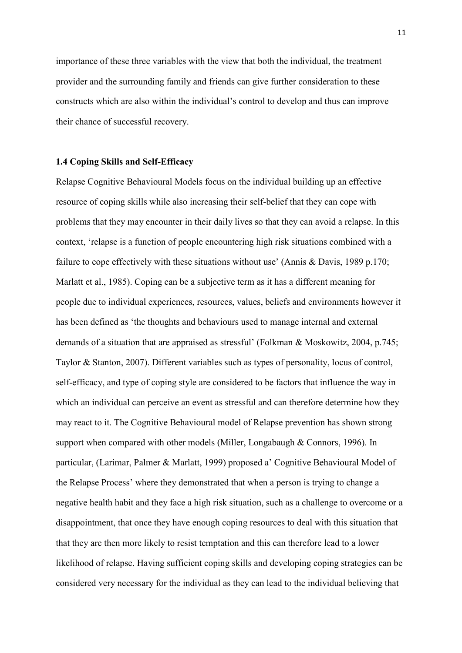importance of these three variables with the view that both the individual, the treatment provider and the surrounding family and friends can give further consideration to these constructs which are also within the individual's control to develop and thus can improve their chance of successful recovery.

#### **1.4 Coping Skills and Self-Efficacy**

Relapse Cognitive Behavioural Models focus on the individual building up an effective resource of coping skills while also increasing their self-belief that they can cope with problems that they may encounter in their daily lives so that they can avoid a relapse. In this context, 'relapse is a function of people encountering high risk situations combined with a failure to cope effectively with these situations without use' (Annis & Davis, 1989 p.170; Marlatt et al., 1985). Coping can be a subjective term as it has a different meaning for people due to individual experiences, resources, values, beliefs and environments however it has been defined as 'the thoughts and behaviours used to manage internal and external demands of a situation that are appraised as stressful' (Folkman & Moskowitz, 2004, p.745; Taylor & Stanton, 2007). Different variables such as types of personality, locus of control, self-efficacy, and type of coping style are considered to be factors that influence the way in which an individual can perceive an event as stressful and can therefore determine how they may react to it. The Cognitive Behavioural model of Relapse prevention has shown strong support when compared with other models (Miller, Longabaugh & Connors, 1996). In particular, (Larimar, Palmer & Marlatt, 1999) proposed a' Cognitive Behavioural Model of the Relapse Process' where they demonstrated that when a person is trying to change a negative health habit and they face a high risk situation, such as a challenge to overcome or a disappointment, that once they have enough coping resources to deal with this situation that that they are then more likely to resist temptation and this can therefore lead to a lower likelihood of relapse. Having sufficient coping skills and developing coping strategies can be considered very necessary for the individual as they can lead to the individual believing that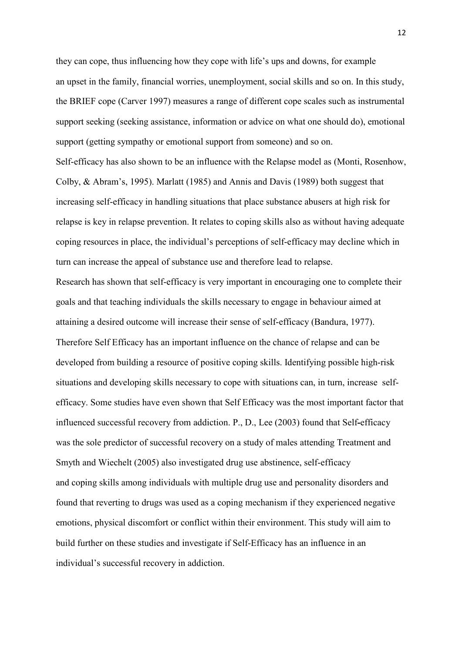they can cope, thus influencing how they cope with life's ups and downs, for example an upset in the family, financial worries, unemployment, social skills and so on. In this study, the BRIEF cope (Carver 1997) measures a range of different cope scales such as instrumental support seeking (seeking assistance, information or advice on what one should do), emotional support (getting sympathy or emotional support from someone) and so on.

Self-efficacy has also shown to be an influence with the Relapse model as (Monti, Rosenhow, Colby, & Abram's, 1995). Marlatt (1985) and Annis and Davis (1989) both suggest that increasing self-efficacy in handling situations that place substance abusers at high risk for relapse is key in relapse prevention. It relates to coping skills also as without having adequate coping resources in place, the individual's perceptions of self-efficacy may decline which in turn can increase the appeal of substance use and therefore lead to relapse.

Research has shown that self-efficacy is very important in encouraging one to complete their goals and that teaching individuals the skills necessary to engage in behaviour aimed at attaining a desired outcome will increase their sense of self-efficacy (Bandura, 1977). Therefore Self Efficacy has an important influence on the chance of relapse and can be developed from building a resource of positive coping skills. Identifying possible high-risk situations and developing skills necessary to cope with situations can, in turn, increase selfefficacy. Some studies have even shown that Self Efficacy was the most important factor that influenced successful recovery from addiction. P., D., Lee (2003) found that Self**-**efficacy was the sole predictor of successful recovery on a study of males attending Treatment and Smyth and Wiechelt (2005) also investigated drug use abstinence, self-efficacy and coping skills among individuals with multiple drug use and personality disorders and found that reverting to drugs was used as a coping mechanism if they experienced negative emotions, physical discomfort or conflict within their environment. This study will aim to build further on these studies and investigate if Self-Efficacy has an influence in an individual's successful recovery in addiction.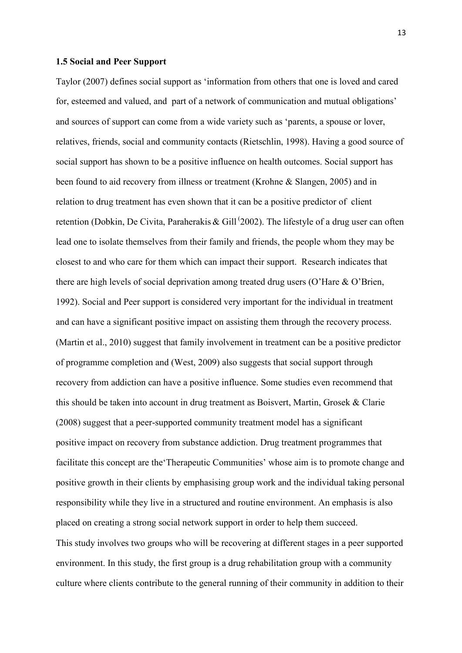#### **1.5 Social and Peer Support**

Taylor (2007) defines social support as 'information from others that one is loved and cared for, esteemed and valued, and part of a network of communication and mutual obligations' and sources of support can come from a wide variety such as 'parents, a spouse or lover, relatives, friends, social and community contacts (Rietschlin, 1998). Having a good source of social support has shown to be a positive influence on health outcomes. Social support has been found to aid recovery from illness or treatment (Krohne & Slangen, 2005) and in relation to drug treatment has even shown that it can be a positive predictor of client retention (Dobkin, De Civita, Paraherakis & Gill<sup>(2002</sup>). The lifestyle of a drug user can often lead one to isolate themselves from their family and friends, the people whom they may be closest to and who care for them which can impact their support. Research indicates that there are high levels of social deprivation among treated drug users (O'Hare & O'Brien, 1992). Social and Peer support is considered very important for the individual in treatment and can have a significant positive impact on assisting them through the recovery process. (Martin et al., 2010) suggest that family involvement in treatment can be a positive predictor of programme completion and (West, 2009) also suggests that social support through recovery from addiction can have a positive influence. Some studies even recommend that this should be taken into account in drug treatment as Boisvert, Martin, Grosek & Clarie (2008) suggest that a peer-supported community treatment model has a significant positive impact on recovery from substance addiction. Drug treatment programmes that facilitate this concept are the'Therapeutic Communities' whose aim is to promote change and positive growth in their clients by emphasising group work and the individual taking personal responsibility while they live in a structured and routine environment. An emphasis is also placed on creating a strong social network support in order to help them succeed. This study involves two groups who will be recovering at different stages in a peer supported environment. In this study, the first group is a drug rehabilitation group with a community culture where clients contribute to the general running of their community in addition to their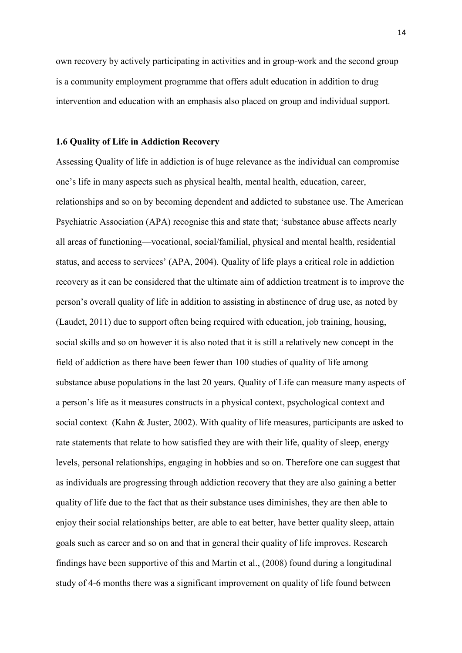own recovery by actively participating in activities and in group-work and the second group is a community employment programme that offers adult education in addition to drug intervention and education with an emphasis also placed on group and individual support.

#### **1.6 Quality of Life in Addiction Recovery**

Assessing Quality of life in addiction is of huge relevance as the individual can compromise one's life in many aspects such as physical health, mental health, education, career, relationships and so on by becoming dependent and addicted to substance use. The American Psychiatric Association (APA) recognise this and state that; 'substance abuse affects nearly all areas of functioning—vocational, social/familial, physical and mental health, residential status, and access to services' (APA, 2004). Quality of life plays a critical role in addiction recovery as it can be considered that the ultimate aim of addiction treatment is to improve the person's overall quality of life in addition to assisting in abstinence of drug use, as noted by (Laudet, 2011) due to support often being required with education, job training, housing, social skills and so on however it is also noted that it is still a relatively new concept in the field of addiction as there have been fewer than 100 studies of quality of life among substance abuse populations in the last 20 years. Quality of Life can measure many aspects of a person's life as it measures constructs in a physical context, psychological context and social context (Kahn & Juster, 2002). With quality of life measures, participants are asked to rate statements that relate to how satisfied they are with their life, quality of sleep, energy levels, personal relationships, engaging in hobbies and so on. Therefore one can suggest that as individuals are progressing through addiction recovery that they are also gaining a better quality of life due to the fact that as their substance uses diminishes, they are then able to enjoy their social relationships better, are able to eat better, have better quality sleep, attain goals such as career and so on and that in general their quality of life improves. Research findings have been supportive of this and Martin et al., (2008) found during a longitudinal study of 4-6 months there was a significant improvement on quality of life found between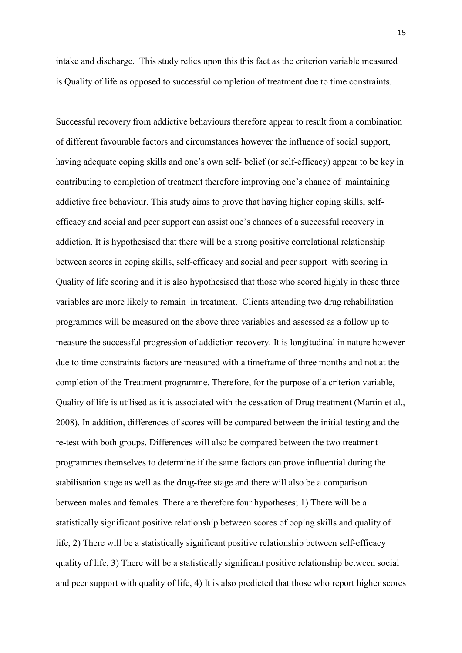intake and discharge. This study relies upon this this fact as the criterion variable measured is Quality of life as opposed to successful completion of treatment due to time constraints.

Successful recovery from addictive behaviours therefore appear to result from a combination of different favourable factors and circumstances however the influence of social support, having adequate coping skills and one's own self- belief (or self-efficacy) appear to be key in contributing to completion of treatment therefore improving one's chance of maintaining addictive free behaviour. This study aims to prove that having higher coping skills, selfefficacy and social and peer support can assist one's chances of a successful recovery in addiction. It is hypothesised that there will be a strong positive correlational relationship between scores in coping skills, self-efficacy and social and peer support with scoring in Quality of life scoring and it is also hypothesised that those who scored highly in these three variables are more likely to remain in treatment. Clients attending two drug rehabilitation programmes will be measured on the above three variables and assessed as a follow up to measure the successful progression of addiction recovery. It is longitudinal in nature however due to time constraints factors are measured with a timeframe of three months and not at the completion of the Treatment programme. Therefore, for the purpose of a criterion variable, Quality of life is utilised as it is associated with the cessation of Drug treatment (Martin et al., 2008). In addition, differences of scores will be compared between the initial testing and the re-test with both groups. Differences will also be compared between the two treatment programmes themselves to determine if the same factors can prove influential during the stabilisation stage as well as the drug-free stage and there will also be a comparison between males and females. There are therefore four hypotheses; 1) There will be a statistically significant positive relationship between scores of coping skills and quality of life, 2) There will be a statistically significant positive relationship between self-efficacy quality of life, 3) There will be a statistically significant positive relationship between social and peer support with quality of life, 4) It is also predicted that those who report higher scores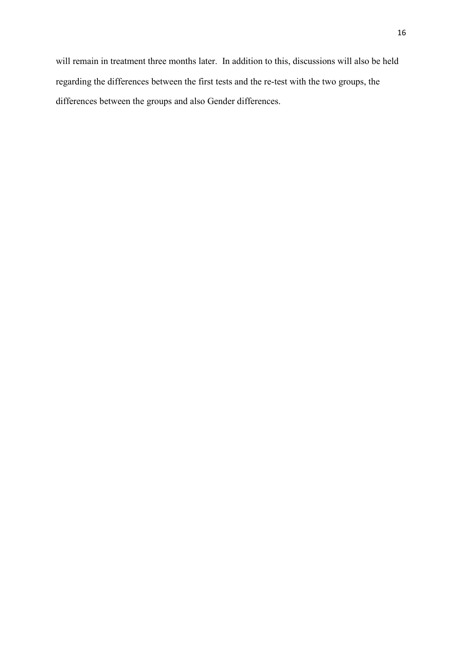will remain in treatment three months later. In addition to this, discussions will also be held regarding the differences between the first tests and the re-test with the two groups, the differences between the groups and also Gender differences.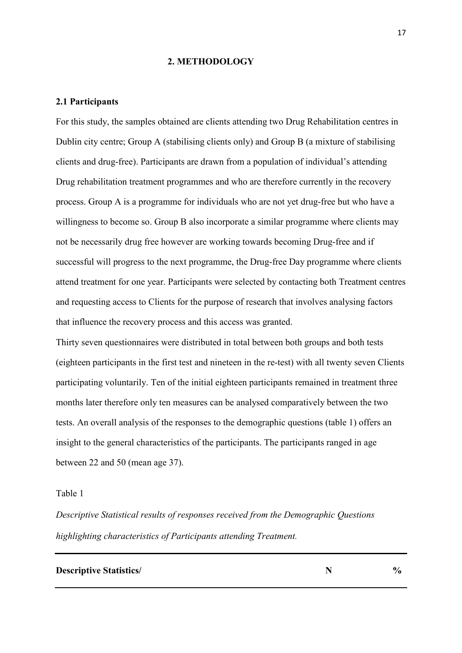#### **2. METHODOLOGY**

#### **2.1 Participants**

For this study, the samples obtained are clients attending two Drug Rehabilitation centres in Dublin city centre; Group A (stabilising clients only) and Group B (a mixture of stabilising clients and drug-free). Participants are drawn from a population of individual's attending Drug rehabilitation treatment programmes and who are therefore currently in the recovery process. Group A is a programme for individuals who are not yet drug-free but who have a willingness to become so. Group B also incorporate a similar programme where clients may not be necessarily drug free however are working towards becoming Drug-free and if successful will progress to the next programme, the Drug-free Day programme where clients attend treatment for one year. Participants were selected by contacting both Treatment centres and requesting access to Clients for the purpose of research that involves analysing factors that influence the recovery process and this access was granted.

Thirty seven questionnaires were distributed in total between both groups and both tests (eighteen participants in the first test and nineteen in the re-test) with all twenty seven Clients participating voluntarily. Ten of the initial eighteen participants remained in treatment three months later therefore only ten measures can be analysed comparatively between the two tests. An overall analysis of the responses to the demographic questions (table 1) offers an insight to the general characteristics of the participants. The participants ranged in age between 22 and 50 (mean age 37).

#### Table 1

*Descriptive Statistical results of responses received from the Demographic Questions highlighting characteristics of Participants attending Treatment.* 

#### **Descriptive Statistics/**  $\boldsymbol{N}$   $\boldsymbol{N}$   $\boldsymbol{N}$   $\boldsymbol{N}$   $\boldsymbol{N}$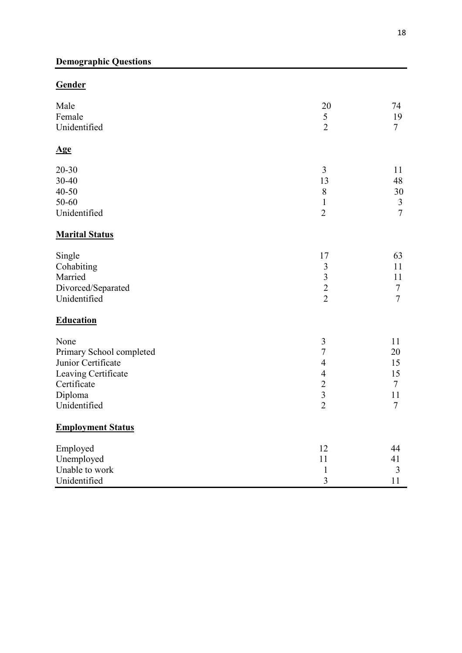# **Gender**

| Male                     | 20                      | 74             |
|--------------------------|-------------------------|----------------|
| Female                   | 5                       | 19             |
| Unidentified             | $\overline{2}$          | $\overline{7}$ |
| <u>Age</u>               |                         |                |
| $20 - 30$                | 3                       | 11             |
| 30-40                    | 13                      | 48             |
| 40-50                    | 8                       | 30             |
| 50-60                    | $\mathbf{1}$            | $\mathfrak{Z}$ |
| Unidentified             | $\overline{2}$          | $\overline{7}$ |
| <b>Marital Status</b>    |                         |                |
| Single                   | 17                      | 63             |
| Cohabiting               | $\overline{\mathbf{3}}$ | 11             |
| Married                  | $\overline{\mathbf{3}}$ | 11             |
| Divorced/Separated       | $\overline{c}$          | $\overline{7}$ |
| Unidentified             | $\overline{2}$          | $\overline{7}$ |
| <b>Education</b>         |                         |                |
| None                     | $\mathfrak{Z}$          | 11             |
| Primary School completed | $\tau$                  | 20             |
| Junior Certificate       | $\overline{4}$          | 15             |
| Leaving Certificate      | $\overline{4}$          | 15             |
| Certificate              | $\overline{2}$          | $\tau$         |
| Diploma                  | $\overline{3}$          | 11             |
| Unidentified             | $\overline{2}$          | $\overline{7}$ |
| <b>Employment Status</b> |                         |                |
| Employed                 | 12                      | 44             |
| Unemployed               | 11                      | 41             |
| Unable to work           | $\mathbf{1}$            | 3              |
| Unidentified             | $\overline{3}$          | 11             |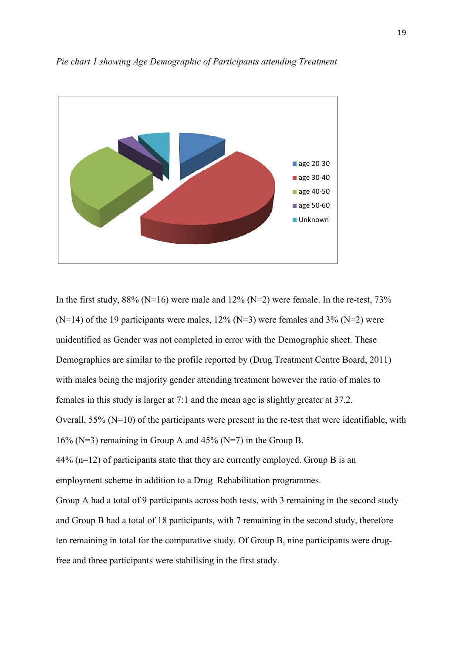

*Pie chart 1 showing Age Demographic of Participants attending Treatment* 

In the first study,  $88\%$  (N=16) were male and  $12\%$  (N=2) were female. In the re-test,  $73\%$  $(N=14)$  of the 19 participants were males, 12%  $(N=3)$  were females and 3%  $(N=2)$  were unidentified as Gender was not completed in error with the Demographic sheet. These Demographics are similar to the profile reported by (Drug Treatment Centre Board, 2011) with males being the majority gender attending treatment however the ratio of males to females in this study is larger at 7:1 and the mean age is slightly greater at 37.2. Overall, 55% (N=10) of the participants were present in the re-test that were identifiable, with 16% ( $N=3$ ) remaining in Group A and 45% ( $N=7$ ) in the Group B. 44% (n=12) of participants state that they are currently employed. Group B is an employment scheme in addition to a Drug Rehabilitation programmes. Group A had a total of 9 participants across both tests, with 3 remaining in the second study and Group B had a total of 18 participants, with 7 remaining in the second study, therefore ten remaining in total for the comparative study. Of Group B, nine participants were drugfree and three participants were stabilising in the first study.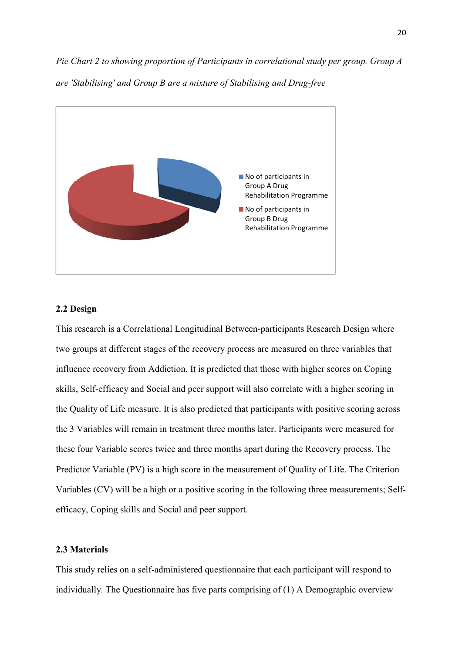*Pie Chart 2 to showing proportion of Participants in correlational study per group. Group A are 'Stabilising' and Group B are a mixture of Stabilising and Drug-free* 



## **2.2 Design**

This research is a Correlational Longitudinal Between-participants Research Design where two groups at different stages of the recovery process are measured on three variables that influence recovery from Addiction. It is predicted that those with higher scores on Coping skills, Self-efficacy and Social and peer support will also correlate with a higher scoring in the Quality of Life measure. It is also predicted that participants with positive scoring across the 3 Variables will remain in treatment three months later. Participants were measured for these four Variable scores twice and three months apart during the Recovery process. The Predictor Variable (PV) is a high score in the measurement of Quality of Life. The Criterion Variables (CV) will be a high or a positive scoring in the following three measurements; Selfefficacy, Coping skills and Social and peer support.

# **2.3 Materials**

This study relies on a self-administered questionnaire that each participant will respond to individually. The Questionnaire has five parts comprising of (1) A Demographic overview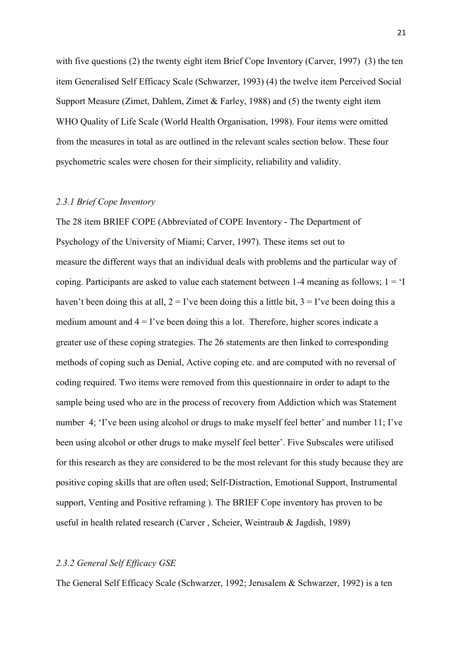with five questions (2) the twenty eight item Brief Cope Inventory (Carver, 1997) (3) the ten item Generalised Self Efficacy Scale (Schwarzer, 1993) (4) the twelve item Perceived Social Support Measure (Zimet, Dahlem, Zimet & Farley, 1988) and (5) the twenty eight item WHO Quality of Life Scale (World Health Organisation, 1998). Four items were omitted from the measures in total as are outlined in the relevant scales section below. These four psychometric scales were chosen for their simplicity, reliability and validity.

#### *2.3.1 Brief Cope Inventory*

The 28 item BRIEF COPE (Abbreviated of COPE Inventory - The Department of Psychology of the University of Miami; Carver, 1997). These items set out to measure the different ways that an individual deals with problems and the particular way of coping. Participants are asked to value each statement between  $1-4$  meaning as follows;  $1 = 1$ haven't been doing this at all,  $2 = I'$ ve been doing this a little bit,  $3 = I'$ ve been doing this a medium amount and  $4 = I'$ ve been doing this a lot. Therefore, higher scores indicate a greater use of these coping strategies. The 26 statements are then linked to corresponding methods of coping such as Denial, Active coping etc. and are computed with no reversal of coding required. Two items were removed from this questionnaire in order to adapt to the sample being used who are in the process of recovery from Addiction which was Statement number 4; 'I've been using alcohol or drugs to make myself feel better' and number 11; I've been using alcohol or other drugs to make myself feel better'. Five Subscales were utilised for this research as they are considered to be the most relevant for this study because they are positive coping skills that are often used; Self-Distraction, Emotional Support, Instrumental support, Venting and Positive reframing ). The BRIEF Cope inventory has proven to be useful in health related research (Carver , Scheier, Weintraub & Jagdish, 1989)

## *2.3.2 General Self Efficacy GSE*

The General Self Efficacy Scale (Schwarzer, 1992; Jerusalem & Schwarzer, 1992) is a ten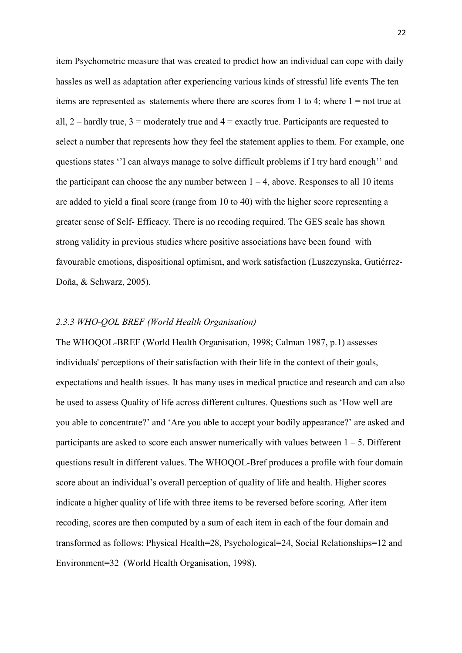item Psychometric measure that was created to predict how an individual can cope with daily hassles as well as adaptation after experiencing various kinds of stressful life events The ten items are represented as statements where there are scores from 1 to 4; where  $1 = not$  true at all,  $2$  – hardly true,  $3$  = moderately true and  $4$  = exactly true. Participants are requested to select a number that represents how they feel the statement applies to them. For example, one questions states ''I can always manage to solve difficult problems if I try hard enough'' and the participant can choose the any number between  $1 - 4$ , above. Responses to all 10 items are added to yield a final score (range from 10 to 40) with the higher score representing a greater sense of Self- Efficacy. There is no recoding required. The GES scale has shown strong validity in previous studies where positive associations have been found with favourable emotions, dispositional optimism, and work satisfaction (Luszczynska, Gutiérrez-Doña, & Schwarz, 2005).

#### *2.3.3 WHO-QOL BREF (World Health Organisation)*

The WHOQOL-BREF (World Health Organisation, 1998; Calman 1987, p.1) assesses individuals' perceptions of their satisfaction with their life in the context of their goals, expectations and health issues. It has many uses in medical practice and research and can also be used to assess Quality of life across different cultures. Questions such as 'How well are you able to concentrate?' and 'Are you able to accept your bodily appearance?' are asked and participants are asked to score each answer numerically with values between  $1 - 5$ . Different questions result in different values. The WHOQOL-Bref produces a profile with four domain score about an individual's overall perception of quality of life and health. Higher scores indicate a higher quality of life with three items to be reversed before scoring. After item recoding, scores are then computed by a sum of each item in each of the four domain and transformed as follows: Physical Health=28, Psychological=24, Social Relationships=12 and Environment=32 (World Health Organisation, 1998).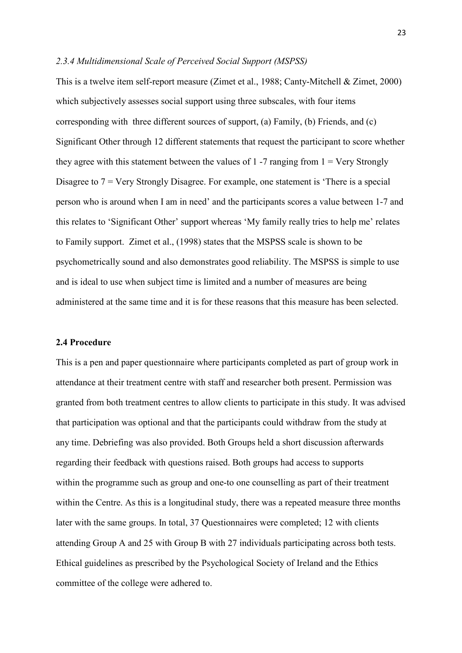#### *2.3.4 Multidimensional Scale of Perceived Social Support (MSPSS)*

This is a twelve item self-report measure (Zimet et al., 1988; Canty-Mitchell & Zimet, 2000) which subjectively assesses social support using three subscales, with four items corresponding with three different sources of support, (a) Family, (b) Friends, and (c) Significant Other through 12 different statements that request the participant to score whether they agree with this statement between the values of 1 -7 ranging from  $1 = \text{Very Strongly}$ Disagree to 7 = Very Strongly Disagree. For example, one statement is 'There is a special person who is around when I am in need' and the participants scores a value between 1-7 and this relates to 'Significant Other' support whereas 'My family really tries to help me' relates to Family support. Zimet et al., (1998) states that the MSPSS scale is shown to be psychometrically sound and also demonstrates good reliability. The MSPSS is simple to use and is ideal to use when subject time is limited and a number of measures are being administered at the same time and it is for these reasons that this measure has been selected.

#### **2.4 Procedure**

This is a pen and paper questionnaire where participants completed as part of group work in attendance at their treatment centre with staff and researcher both present. Permission was granted from both treatment centres to allow clients to participate in this study. It was advised that participation was optional and that the participants could withdraw from the study at any time. Debriefing was also provided. Both Groups held a short discussion afterwards regarding their feedback with questions raised. Both groups had access to supports within the programme such as group and one-to one counselling as part of their treatment within the Centre. As this is a longitudinal study, there was a repeated measure three months later with the same groups. In total, 37 Questionnaires were completed; 12 with clients attending Group A and 25 with Group B with 27 individuals participating across both tests. Ethical guidelines as prescribed by the Psychological Society of Ireland and the Ethics committee of the college were adhered to.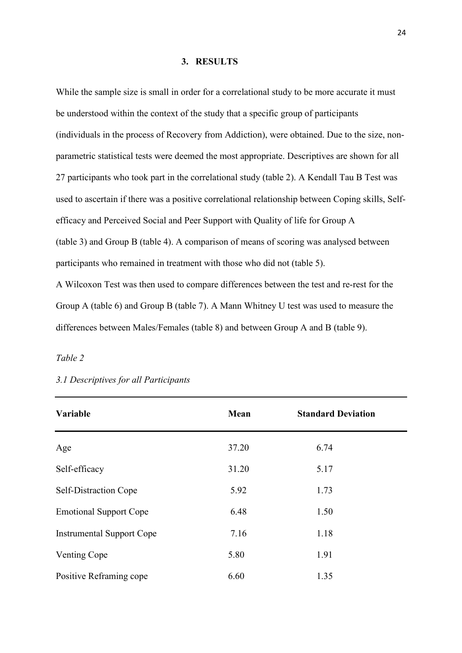#### **3. RESULTS**

While the sample size is small in order for a correlational study to be more accurate it must be understood within the context of the study that a specific group of participants (individuals in the process of Recovery from Addiction), were obtained. Due to the size, nonparametric statistical tests were deemed the most appropriate. Descriptives are shown for all 27 participants who took part in the correlational study (table 2). A Kendall Tau B Test was used to ascertain if there was a positive correlational relationship between Coping skills, Selfefficacy and Perceived Social and Peer Support with Quality of life for Group A (table 3) and Group B (table 4). A comparison of means of scoring was analysed between participants who remained in treatment with those who did not (table 5).

A Wilcoxon Test was then used to compare differences between the test and re-rest for the Group A (table 6) and Group B (table 7). A Mann Whitney U test was used to measure the differences between Males/Females (table 8) and between Group A and B (table 9).

# *Table 2*

| Variable                         | Mean  | <b>Standard Deviation</b> |  |
|----------------------------------|-------|---------------------------|--|
| Age                              | 37.20 | 6.74                      |  |
| Self-efficacy                    | 31.20 | 5.17                      |  |
| Self-Distraction Cope            | 5.92  | 1.73                      |  |
| <b>Emotional Support Cope</b>    | 6.48  | 1.50                      |  |
| <b>Instrumental Support Cope</b> | 7.16  | 1.18                      |  |
| Venting Cope                     | 5.80  | 1.91                      |  |
| Positive Reframing cope          | 6.60  | 1.35                      |  |

# *3.1 Descriptives for all Participants*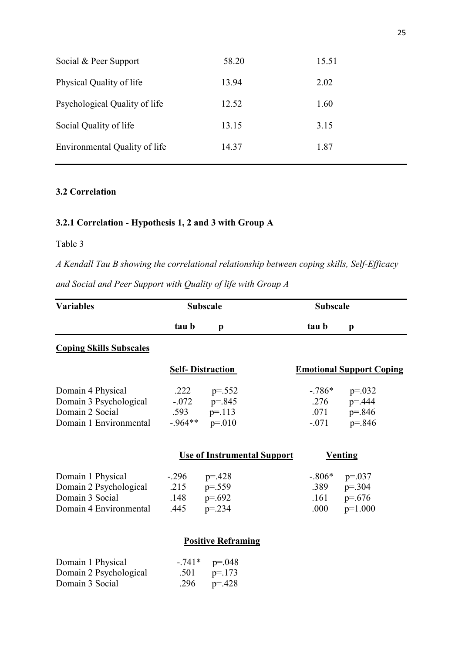| Social & Peer Support         | 58.20 | 15.51 |
|-------------------------------|-------|-------|
| Physical Quality of life      | 13.94 | 2.02  |
| Psychological Quality of life | 12.52 | 1.60  |
| Social Quality of life        | 13.15 | 3.15  |
| Environmental Quality of life | 14.37 | 1.87  |
|                               |       |       |

# **3.2 Correlation**

# **3.2.1 Correlation - Hypothesis 1, 2 and 3 with Group A**

# Table 3

*A Kendall Tau B showing the correlational relationship between coping skills, Self-Efficacy* 

*and Social and Peer Support with Quality of life with Group A* 

Domain 3 Social  $.296$  p=.428

| <b>Variables</b>               | <b>Subscale</b> |                           |                                    | <b>Subscale</b> |                                 |
|--------------------------------|-----------------|---------------------------|------------------------------------|-----------------|---------------------------------|
|                                | tau b           | p                         |                                    | tau b           | $\mathbf{p}$                    |
| <b>Coping Skills Subscales</b> |                 |                           |                                    |                 |                                 |
|                                |                 | <b>Self-Distraction</b>   |                                    |                 | <b>Emotional Support Coping</b> |
| Domain 4 Physical              | .222            | $p=.552$                  |                                    | $-786*$         | $p=.032$                        |
| Domain 3 Psychological         |                 | $-0.072$ p=.845           |                                    | .276            | $p = 444$                       |
| Domain 2 Social                |                 | .593 $p=.113$             |                                    | .071            | $p = 846$                       |
| Domain 1 Environmental         |                 | $-.964**$ p=.010          |                                    | $-.071$         | $p = 846$                       |
|                                |                 |                           | <b>Use of Instrumental Support</b> |                 | <u>Venting</u>                  |
| Domain 1 Physical              | $-.296$         | $p = 428$                 |                                    | $-.806*$        | $p=.037$                        |
| Domain 2 Psychological         | .215            | $p = 559$                 |                                    | .389            | $p = 0.304$                     |
| Domain 3 Social                | .148            | $p=.692$                  |                                    | .161            | $p=.676$                        |
| Domain 4 Environmental         | .445            | $p = 234$                 |                                    | .000            | $p=1.000$                       |
|                                |                 | <b>Positive Reframing</b> |                                    |                 |                                 |
| Domain 1 Physical              |                 | $-0.741*$ p=.048          |                                    |                 |                                 |
| Domain 2 Psychological         | .501            | $p = 173$                 |                                    |                 |                                 |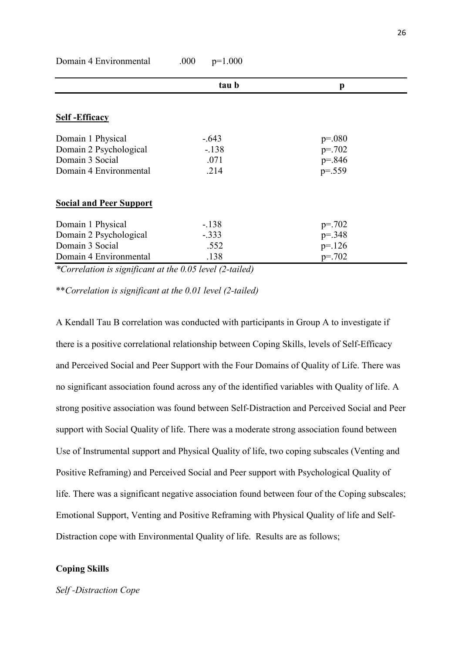|                                | tau b   | p           |  |
|--------------------------------|---------|-------------|--|
|                                |         |             |  |
| <b>Self-Efficacy</b>           |         |             |  |
| Domain 1 Physical              | $-.643$ | $p = 080$   |  |
| Domain 2 Psychological         | $-.138$ | $p = 702$   |  |
| Domain 3 Social                | .071    | $p = 846$   |  |
| Domain 4 Environmental         | .214    | $p = 0.559$ |  |
| <b>Social and Peer Support</b> |         |             |  |
| Domain 1 Physical              | $-138$  | $p = 702$   |  |
| Domain 2 Psychological         | $-.333$ | $p = 348$   |  |
| Domain 3 Social                | .552    | $p = 126$   |  |
| Domain 4 Environmental         | .138    | $p = 702$   |  |

Domain 4 Environmental .000 p=1.000

*\*Correlation is significant at the 0.05 level (2-tailed)* 

\*\**Correlation is significant at the 0.01 level (2-tailed)* 

A Kendall Tau B correlation was conducted with participants in Group A to investigate if there is a positive correlational relationship between Coping Skills, levels of Self-Efficacy and Perceived Social and Peer Support with the Four Domains of Quality of Life. There was no significant association found across any of the identified variables with Quality of life. A strong positive association was found between Self-Distraction and Perceived Social and Peer support with Social Quality of life. There was a moderate strong association found between Use of Instrumental support and Physical Quality of life, two coping subscales (Venting and Positive Reframing) and Perceived Social and Peer support with Psychological Quality of life. There was a significant negative association found between four of the Coping subscales; Emotional Support, Venting and Positive Reframing with Physical Quality of life and Self-Distraction cope with Environmental Quality of life. Results are as follows;

#### **Coping Skills**

*Self -Distraction Cope*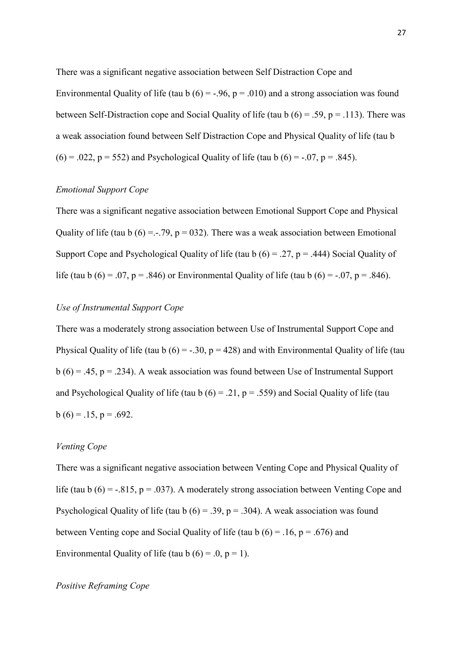There was a significant negative association between Self Distraction Cope and Environmental Quality of life (tau b  $(6) = -0.96$ ,  $p = 0.010$ ) and a strong association was found between Self-Distraction cope and Social Quality of life (tau b  $(6) = .59$ ,  $p = .113$ ). There was a weak association found between Self Distraction Cope and Physical Quality of life (tau b  $(6) = .022$ ,  $p = 552$ ) and Psychological Quality of life (tau b  $(6) = -.07$ ,  $p = .845$ ).

#### *Emotional Support Cope*

There was a significant negative association between Emotional Support Cope and Physical Quality of life (tau b  $(6) = -.79$ ,  $p = 032$ ). There was a weak association between Emotional Support Cope and Psychological Quality of life (tau b  $(6) = .27$ ,  $p = .444$ ) Social Quality of life (tau b  $(6) = .07$ ,  $p = .846$ ) or Environmental Quality of life (tau b  $(6) = -.07$ ,  $p = .846$ ).

## *Use of Instrumental Support Cope*

There was a moderately strong association between Use of Instrumental Support Cope and Physical Quality of life (tau b  $(6) = -.30$ ,  $p = 428$ ) and with Environmental Quality of life (tau  $b(6) = .45$ ,  $p = .234$ ). A weak association was found between Use of Instrumental Support and Psychological Quality of life (tau b  $(6) = .21$ ,  $p = .559$ ) and Social Quality of life (tau  $b(6) = 0.15$ ,  $p = 0.692$ .

## *Venting Cope*

There was a significant negative association between Venting Cope and Physical Quality of life (tau b  $(6) = -0.815$ ,  $p = 0.037$ ). A moderately strong association between Venting Cope and Psychological Quality of life (tau b  $(6) = .39$ ,  $p = .304$ ). A weak association was found between Venting cope and Social Quality of life (tau b  $(6) = .16$ ,  $p = .676$ ) and Environmental Quality of life (tau b  $(6) = .0, p = 1$ ).

## *Positive Reframing Cope*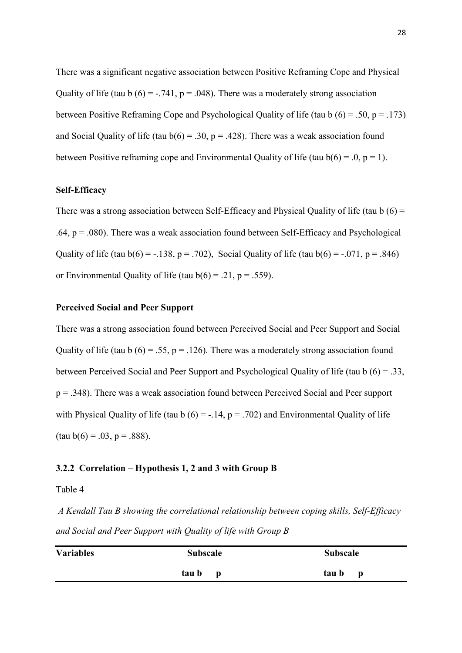There was a significant negative association between Positive Reframing Cope and Physical Quality of life (tau b  $(6) = -0.741$ , p = .048). There was a moderately strong association between Positive Reframing Cope and Psychological Quality of life (tau b  $(6) = .50$ ,  $p = .173$ ) and Social Quality of life (tau  $b(6) = .30$ ,  $p = .428$ ). There was a weak association found between Positive reframing cope and Environmental Quality of life (tau  $b(6) = 0$ ,  $p = 1$ ).

#### **Self-Efficacy**

There was a strong association between Self-Efficacy and Physical Quality of life (tau  $b(6)$  = .64,  $p = .080$ ). There was a weak association found between Self-Efficacy and Psychological Quality of life (tau  $b(6) = -.138$ ,  $p = .702$ ), Social Quality of life (tau  $b(6) = -.071$ ,  $p = .846$ ) or Environmental Quality of life (tau  $b(6) = .21$ ,  $p = .559$ ).

#### **Perceived Social and Peer Support**

There was a strong association found between Perceived Social and Peer Support and Social Quality of life (tau b  $(6) = .55$ ,  $p = .126$ ). There was a moderately strong association found between Perceived Social and Peer Support and Psychological Quality of life (tau b (6) = .33, p = .348). There was a weak association found between Perceived Social and Peer support with Physical Quality of life (tau b  $(6) = -0.14$ ,  $p = 0.702$ ) and Environmental Quality of life  $(tau b(6) = .03, p = .888)$ .

## **3.2.2 Correlation – Hypothesis 1, 2 and 3 with Group B**

Table 4

 *A Kendall Tau B showing the correlational relationship between coping skills, Self-Efficacy and Social and Peer Support with Quality of life with Group B* 

| <b>Variables</b> | <b>Subscale</b>       | <b>Subscale</b>       |
|------------------|-----------------------|-----------------------|
|                  | tau b<br>$\mathbf{p}$ | tau b<br>$\mathbf{p}$ |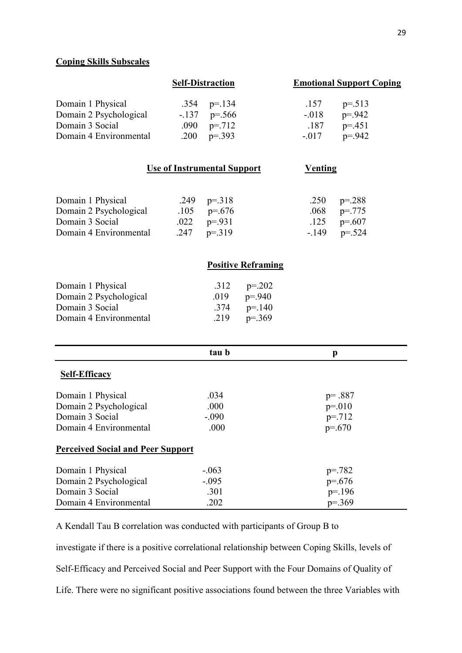# **Coping Skills Subscales**

| Domain 1 Physical      | <b>Self-Distraction</b> | <b>Emotional Support Coping</b> |           |  |
|------------------------|-------------------------|---------------------------------|-----------|--|
|                        | .354 $p=134$            | .157                            | $p = 513$ |  |
| Domain 2 Psychological | $-137$ p=.566           | $-.018$                         | $p = 942$ |  |
| Domain 3 Social        | .090 $p=.712$           | .187                            | $p = 451$ |  |
| Domain 4 Environmental | .200 $p=.393$           | $-.017$                         | $p = 942$ |  |

| Domain 1 Physical      | .249 $p=.318$ | .250 $p=.288$ |
|------------------------|---------------|---------------|
| Domain 2 Psychological | .105 $p=676$  | .068 $p=.775$ |
| Domain 3 Social        | .022 $p=931$  | .125 $p=607$  |
| Domain 4 Environmental | .247 $p=.319$ | $-149$ p=.524 |

## **Positive Reframing**

| Domain 1 Physical      |      | .312 $p=.202$ |
|------------------------|------|---------------|
| Domain 2 Psychological | .019 | $p = 940$     |
| Domain 3 Social        |      | .374 $p=.140$ |
| Domain 4 Environmental |      | .219 $p=.369$ |

|                                          | tau b   | p           |  |
|------------------------------------------|---------|-------------|--|
| <b>Self-Efficacy</b>                     |         |             |  |
| Domain 1 Physical                        | .034    | $p = .887$  |  |
| Domain 2 Psychological                   | .000    | $p = 010$   |  |
| Domain 3 Social                          | $-.090$ | $p = 712$   |  |
| Domain 4 Environmental                   | .000    | $p=.670$    |  |
| <b>Perceived Social and Peer Support</b> |         |             |  |
| Domain 1 Physical                        | $-.063$ | $p = 782$   |  |
| Domain 2 Psychological                   | $-.095$ | $p=.676$    |  |
| Domain 3 Social                          | .301    | $p = 196$   |  |
| Domain 4 Environmental                   | .202    | $p = 0.369$ |  |

A Kendall Tau B correlation was conducted with participants of Group B to

investigate if there is a positive correlational relationship between Coping Skills, levels of Self-Efficacy and Perceived Social and Peer Support with the Four Domains of Quality of Life. There were no significant positive associations found between the three Variables with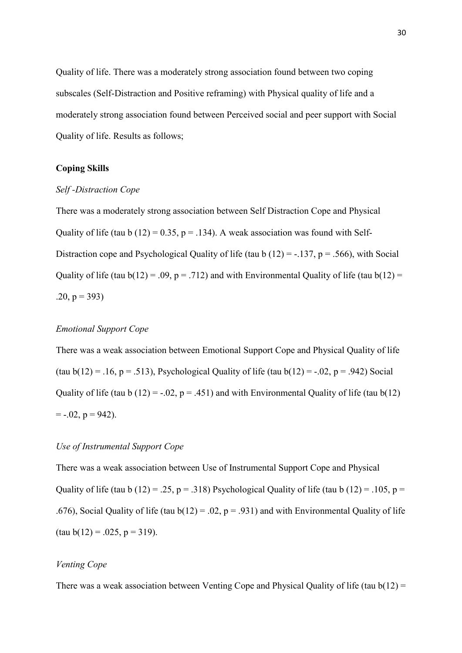Quality of life. There was a moderately strong association found between two coping subscales (Self-Distraction and Positive reframing) with Physical quality of life and a moderately strong association found between Perceived social and peer support with Social Quality of life. Results as follows;

# **Coping Skills**

#### *Self -Distraction Cope*

There was a moderately strong association between Self Distraction Cope and Physical Quality of life (tau b  $(12) = 0.35$ , p = .134). A weak association was found with Self-Distraction cope and Psychological Quality of life (tau b  $(12) = -137$ , p = .566), with Social Quality of life (tau  $b(12) = .09$ ,  $p = .712$ ) and with Environmental Quality of life (tau  $b(12) =$  $.20, p = 393$ 

# *Emotional Support Cope*

There was a weak association between Emotional Support Cope and Physical Quality of life (tau b(12) = .16, p = .513), Psychological Quality of life (tau b(12) = -.02, p = .942) Social Quality of life (tau b (12) =  $-0.02$ , p = .451) and with Environmental Quality of life (tau b(12)  $= -0.02$ ,  $p = 942$ ).

# *Use of Instrumental Support Cope*

There was a weak association between Use of Instrumental Support Cope and Physical Quality of life (tau b (12) = .25, p = .318) Psychological Quality of life (tau b (12) = .105, p = .676), Social Quality of life (tau  $b(12) = .02$ ,  $p = .931$ ) and with Environmental Quality of life  $(tau b(12) = .025, p = 319).$ 

# *Venting Cope*

There was a weak association between Venting Cope and Physical Quality of life (tau  $b(12)$  =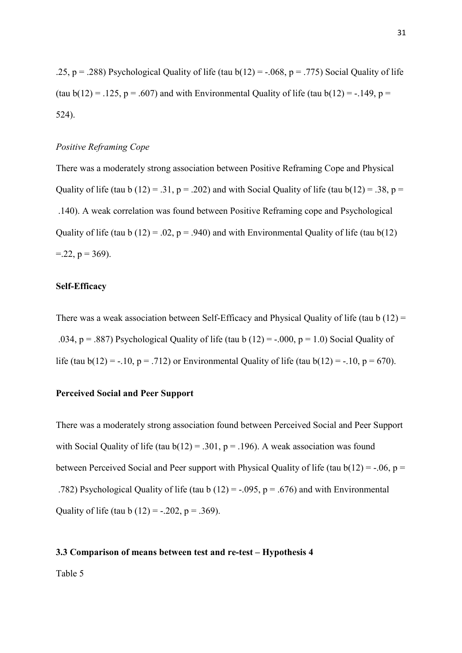.25, p = .288) Psychological Quality of life (tau  $b(12) = -0.068$ , p = .775) Social Quality of life (tau  $b(12) = .125$ ,  $p = .607$ ) and with Environmental Quality of life (tau  $b(12) = -.149$ ,  $p =$ 524).

## *Positive Reframing Cope*

There was a moderately strong association between Positive Reframing Cope and Physical Quality of life (tau b  $(12) = .31$ ,  $p = .202$ ) and with Social Quality of life (tau b $(12) = .38$ ,  $p =$  .140). A weak correlation was found between Positive Reframing cope and Psychological Quality of life (tau b (12) = .02,  $p = .940$ ) and with Environmental Quality of life (tau b(12)  $= 22$ ,  $p = 369$ ).

# **Self-Efficacy**

There was a weak association between Self-Efficacy and Physical Quality of life (tau b  $(12)$  = .034, p = .887) Psychological Quality of life (tau b  $(12) = -0.00$ , p = 1.0) Social Quality of life (tau b(12) = -.10, p = .712) or Environmental Quality of life (tau b(12) = -.10, p = 670).

#### **Perceived Social and Peer Support**

There was a moderately strong association found between Perceived Social and Peer Support with Social Quality of life (tau  $b(12) = .301$ ,  $p = .196$ ). A weak association was found between Perceived Social and Peer support with Physical Quality of life (tau  $b(12) = -0.06$ , p = .782) Psychological Quality of life (tau b  $(12) = -0.095$ , p = .676) and with Environmental Quality of life (tau b  $(12) = -.202$ ,  $p = .369$ ).

#### **3.3 Comparison of means between test and re-test – Hypothesis 4**

Table 5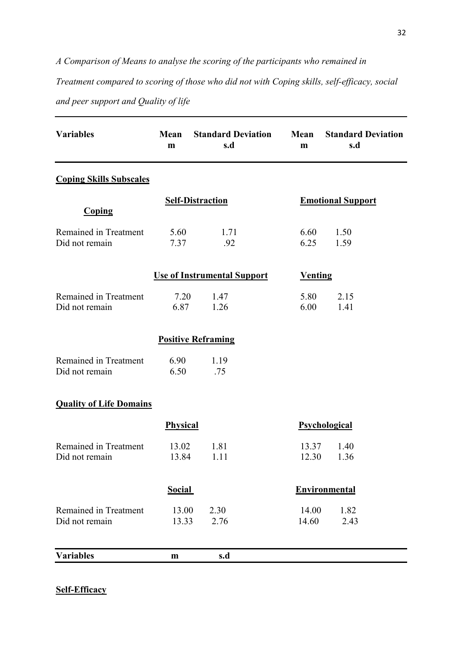*A Comparison of Means to analyse the scoring of the participants who remained in Treatment compared to scoring of those who did not with Coping skills, self-efficacy, social and peer support and Quality of life* 

| <b>Variables</b>                        | Mean<br>m               | <b>Standard Deviation</b><br>s.d   | Mean<br>m      | <b>Standard Deviation</b><br>s.d |  |
|-----------------------------------------|-------------------------|------------------------------------|----------------|----------------------------------|--|
| <b>Coping Skills Subscales</b>          |                         |                                    |                |                                  |  |
| <b>Coping</b>                           | <b>Self-Distraction</b> |                                    |                | <b>Emotional Support</b>         |  |
| Remained in Treatment<br>Did not remain | 5.60<br>7.37            | 1.71<br>.92                        | 6.60<br>6.25   | 1.50<br>1.59                     |  |
|                                         |                         | <b>Use of Instrumental Support</b> | <b>Venting</b> |                                  |  |
| Remained in Treatment<br>Did not remain | 7.20<br>6.87            | 1.47<br>1.26                       | 5.80<br>6.00   | 2.15<br>1.41                     |  |
|                                         |                         | <b>Positive Reframing</b>          |                |                                  |  |
| Remained in Treatment<br>Did not remain | 6.90<br>6.50            | 1.19<br>.75                        |                |                                  |  |
| <b>Quality of Life Domains</b>          |                         |                                    |                |                                  |  |
|                                         | <b>Physical</b>         |                                    |                | Psychological                    |  |
| Remained in Treatment<br>Did not remain | 13.02<br>13.84          | 1.81<br>1.11                       | 13.37<br>12.30 | 1.40<br>1.36                     |  |
|                                         | <b>Social</b>           |                                    |                | Environmental                    |  |
| Remained in Treatment<br>Did not remain | 13.00<br>13.33          | 2.30<br>2.76                       | 14.00<br>14.60 | 1.82<br>2.43                     |  |
| <b>Variables</b>                        | $\mathbf{m}$            | s.d                                |                |                                  |  |

# **Self-Efficacy**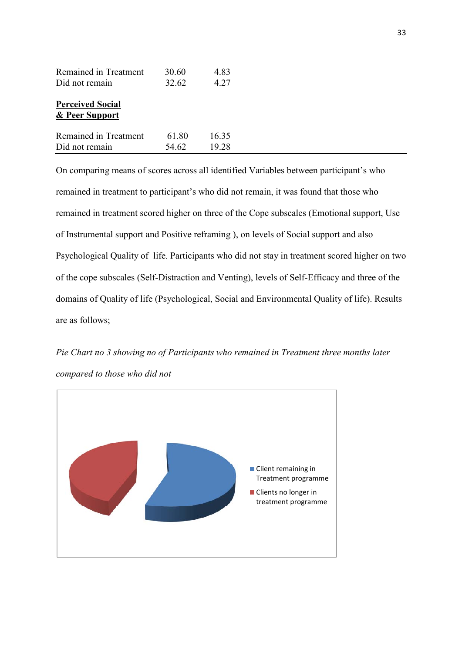| Remained in Treatment                                | 30.60 | 4.83  |
|------------------------------------------------------|-------|-------|
| Did not remain                                       | 32.62 | 4.27  |
| <b>Perceived Social</b><br><u>&amp; Peer Support</u> |       |       |
| Remained in Treatment                                | 61.80 | 16.35 |
| Did not remain                                       | 54.62 | 19.28 |

On comparing means of scores across all identified Variables between participant's who remained in treatment to participant's who did not remain, it was found that those who remained in treatment scored higher on three of the Cope subscales (Emotional support, Use of Instrumental support and Positive reframing ), on levels of Social support and also Psychological Quality of life. Participants who did not stay in treatment scored higher on two of the cope subscales (Self-Distraction and Venting), levels of Self-Efficacy and three of the domains of Quality of life (Psychological, Social and Environmental Quality of life). Results are as follows;

*Pie Chart no 3 showing no of Participants who remained in Treatment three months later compared to those who did not* 

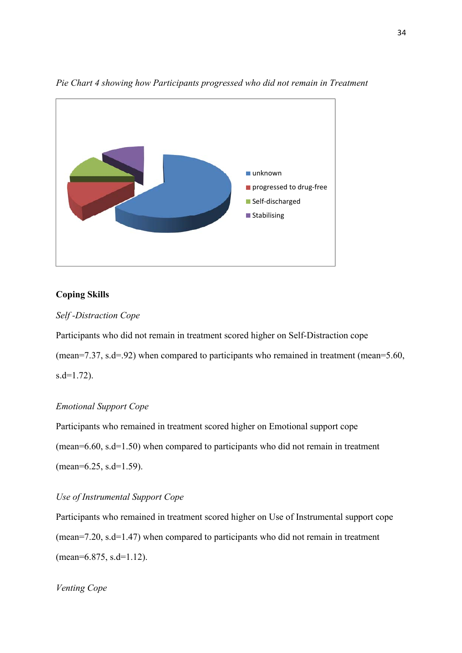

*Pie Chart 4 showing how Participants progressed who did not remain in Treatment* 

# **Coping Skills**

# *Self -Distraction Cope*

Participants who did not remain in treatment scored higher on Self-Distraction cope (mean=7.37, s.d=.92) when compared to participants who remained in treatment (mean=5.60,  $s.d=1.72$ ).

# *Emotional Support Cope*

Participants who remained in treatment scored higher on Emotional support cope (mean=6.60, s.d=1.50) when compared to participants who did not remain in treatment (mean=6.25, s.d=1.59).

# *Use of Instrumental Support Cope*

Participants who remained in treatment scored higher on Use of Instrumental support cope (mean=7.20, s.d=1.47) when compared to participants who did not remain in treatment (mean=6.875, s.d=1.12).

# *Venting Cope*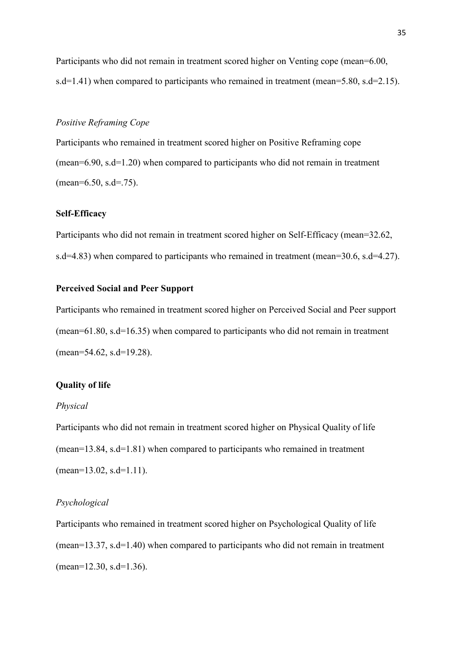Participants who did not remain in treatment scored higher on Venting cope (mean=6.00, s.d=1.41) when compared to participants who remained in treatment (mean=5.80, s.d=2.15).

### *Positive Reframing Cope*

Participants who remained in treatment scored higher on Positive Reframing cope (mean=6.90, s.d=1.20) when compared to participants who did not remain in treatment  $(mean=6.50, s.d=.75)$ .

## **Self-Efficacy**

Participants who did not remain in treatment scored higher on Self-Efficacy (mean=32.62, s.d=4.83) when compared to participants who remained in treatment (mean=30.6, s.d=4.27).

#### **Perceived Social and Peer Support**

Participants who remained in treatment scored higher on Perceived Social and Peer support (mean=61.80, s.d=16.35) when compared to participants who did not remain in treatment (mean=54.62, s.d=19.28).

#### **Quality of life**

#### *Physical*

Participants who did not remain in treatment scored higher on Physical Quality of life (mean=13.84, s.d=1.81) when compared to participants who remained in treatment  $(mean=13.02, s.d=1.11).$ 

#### *Psychological*

Participants who remained in treatment scored higher on Psychological Quality of life (mean=13.37, s.d=1.40) when compared to participants who did not remain in treatment (mean=12.30, s.d=1.36).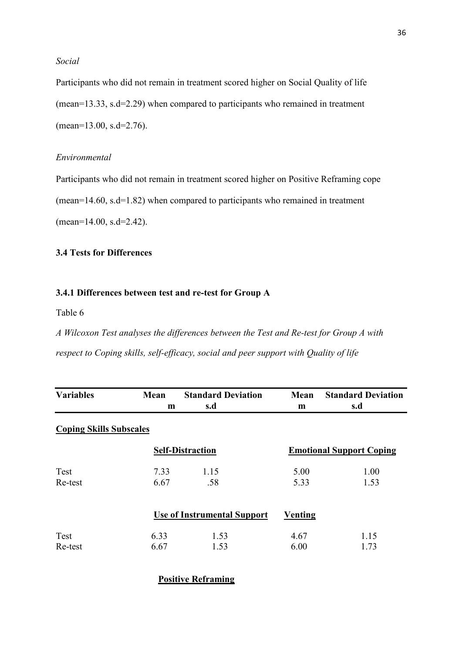# *Social*

Participants who did not remain in treatment scored higher on Social Quality of life (mean=13.33, s.d=2.29) when compared to participants who remained in treatment (mean=13.00, s.d=2.76).

# *Environmental*

Participants who did not remain in treatment scored higher on Positive Reframing cope (mean=14.60, s.d=1.82) when compared to participants who remained in treatment (mean=14.00, s.d=2.42).

# **3.4 Tests for Differences**

# **3.4.1 Differences between test and re-test for Group A**

Table 6

*A Wilcoxon Test analyses the differences between the Test and Re-test for Group A with respect to Coping skills, self-efficacy, social and peer support with Quality of life* 

| <b>Variables</b>               | Mean | <b>Standard Deviation</b>          | Mean    | <b>Standard Deviation</b>       |
|--------------------------------|------|------------------------------------|---------|---------------------------------|
|                                | m    | s.d                                | m       | s.d                             |
| <b>Coping Skills Subscales</b> |      |                                    |         |                                 |
|                                |      | <b>Self-Distraction</b>            |         | <b>Emotional Support Coping</b> |
| Test                           | 7.33 | 1.15                               | 5.00    | 1.00                            |
| Re-test                        | 6.67 | .58                                | 5.33    | 1.53                            |
|                                |      | <b>Use of Instrumental Support</b> | Venting |                                 |
| <b>Test</b>                    | 6.33 | 1.53                               | 4.67    | 1.15                            |
| Re-test                        | 6.67 | 1.53                               | 6.00    | 1.73                            |

**Positive Reframing**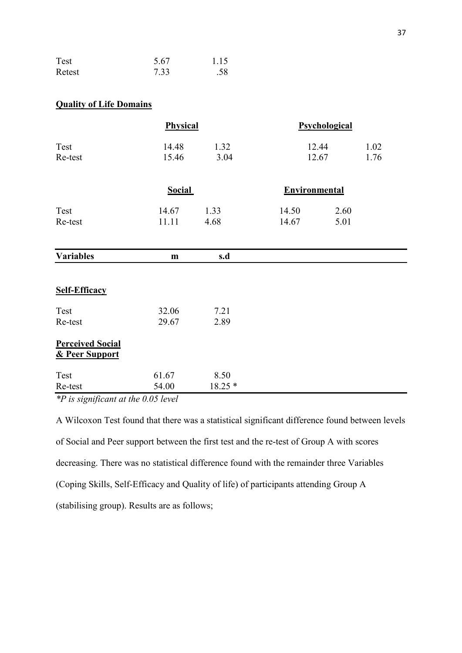| Test   | 5.67 | 1.15 |
|--------|------|------|
| Retest | 7.33 | .58  |

## **Quality of Life Domains**

|                                           | Physical       |              |               | Psychological  |              |
|-------------------------------------------|----------------|--------------|---------------|----------------|--------------|
| Test<br>Re-test                           | 14.48<br>15.46 | 1.32<br>3.04 |               | 12.44<br>12.67 | 1.02<br>1.76 |
|                                           | <b>Social</b>  |              | Environmental |                |              |
| Test                                      | 14.67          | 1.33         | 14.50         | 2.60           |              |
| Re-test                                   | 11.11          | 4.68         | 14.67         | 5.01           |              |
| <b>Variables</b>                          | ${\bf m}$      | s.d          |               |                |              |
| <b>Self-Efficacy</b>                      |                |              |               |                |              |
| Test                                      | 32.06          | 7.21         |               |                |              |
| Re-test                                   | 29.67          | 2.89         |               |                |              |
| <b>Perceived Social</b><br>& Peer Support |                |              |               |                |              |
| Test                                      | 61.67          | 8.50         |               |                |              |
| Re-test                                   | 54.00          | $18.25*$     |               |                |              |

*\*P is significant at the 0.05 level* 

A Wilcoxon Test found that there was a statistical significant difference found between levels of Social and Peer support between the first test and the re-test of Group A with scores decreasing. There was no statistical difference found with the remainder three Variables (Coping Skills, Self-Efficacy and Quality of life) of participants attending Group A (stabilising group). Results are as follows;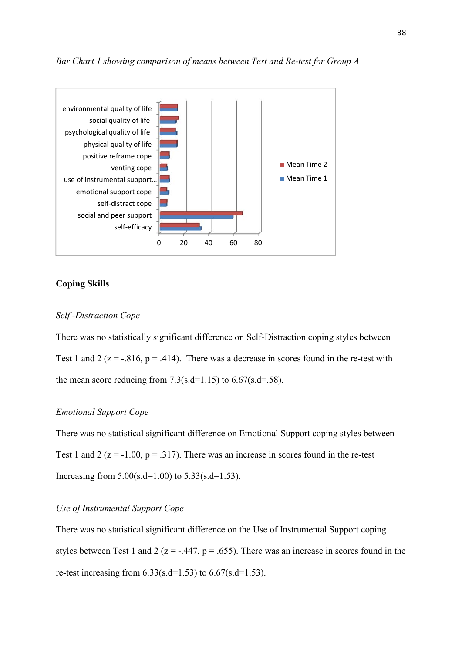

#### *Bar Chart 1 showing comparison of means between Test and Re-test for Group A*

#### **Coping Skills**

## *Self -Distraction Cope*

There was no statistically significant difference on Self-Distraction coping styles between Test 1 and 2 ( $z = -0.816$ ,  $p = 0.414$ ). There was a decrease in scores found in the re-test with the mean score reducing from  $7.3$ (s.d=1.15) to  $6.67$ (s.d=.58).

## *Emotional Support Cope*

There was no statistical significant difference on Emotional Support coping styles between Test 1 and 2 ( $z = -1.00$ ,  $p = .317$ ). There was an increase in scores found in the re-test Increasing from  $5.00(s.d=1.00)$  to  $5.33(s.d=1.53)$ .

## *Use of Instrumental Support Cope*

There was no statistical significant difference on the Use of Instrumental Support coping styles between Test 1 and 2 ( $z = -0.447$ ,  $p = 0.655$ ). There was an increase in scores found in the re-test increasing from  $6.33$ (s.d=1.53) to  $6.67$ (s.d=1.53).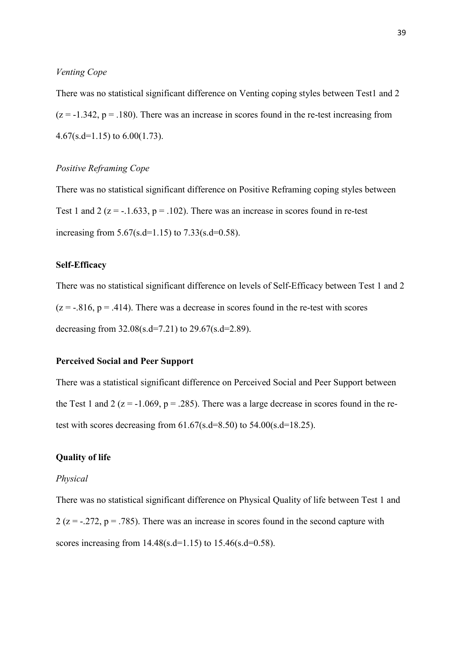## *Venting Cope*

There was no statistical significant difference on Venting coping styles between Test1 and 2  $(z = -1.342, p = .180)$ . There was an increase in scores found in the re-test increasing from 4.67(s.d=1.15) to 6.00(1.73).

## *Positive Reframing Cope*

There was no statistical significant difference on Positive Reframing coping styles between Test 1 and 2 ( $z = -1.633$ ,  $p = 0.102$ ). There was an increase in scores found in re-test increasing from  $5.67$ (s.d=1.15) to  $7.33$ (s.d=0.58).

#### **Self-Efficacy**

There was no statistical significant difference on levels of Self-Efficacy between Test 1 and 2  $(z = -0.816, p = 0.414)$ . There was a decrease in scores found in the re-test with scores decreasing from  $32.08$ (s.d=7.21) to  $29.67$ (s.d=2.89).

## **Perceived Social and Peer Support**

There was a statistical significant difference on Perceived Social and Peer Support between the Test 1 and 2 ( $z = -1.069$ ,  $p = 0.285$ ). There was a large decrease in scores found in the retest with scores decreasing from  $61.67$ (s.d=8.50) to  $54.00$ (s.d=18.25).

## **Quality of life**

#### *Physical*

There was no statistical significant difference on Physical Quality of life between Test 1 and  $2 (z = -0.272, p = 0.785)$ . There was an increase in scores found in the second capture with scores increasing from  $14.48(s.d=1.15)$  to  $15.46(s.d=0.58)$ .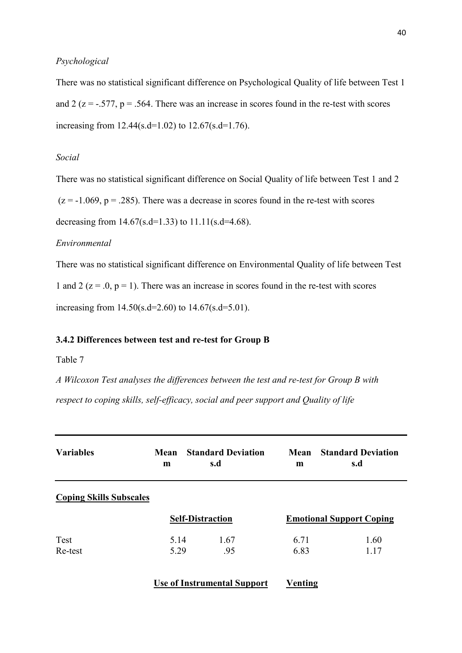## *Psychological*

There was no statistical significant difference on Psychological Quality of life between Test 1 and 2 ( $z = -0.577$ ,  $p = 0.564$ . There was an increase in scores found in the re-test with scores increasing from 12.44(s.d=1.02) to 12.67(s.d=1.76).

## *Social*

There was no statistical significant difference on Social Quality of life between Test 1 and 2

 $(z = -1.069, p = .285)$ . There was a decrease in scores found in the re-test with scores

decreasing from  $14.67$ (s.d=1.33) to  $11.11$ (s.d=4.68).

#### *Environmental*

There was no statistical significant difference on Environmental Quality of life between Test 1 and 2 ( $z = 0$ ,  $p = 1$ ). There was an increase in scores found in the re-test with scores increasing from  $14.50(s.d=2.60)$  to  $14.67(s.d=5.01)$ .

#### **3.4.2 Differences between test and re-test for Group B**

#### Table 7

*A Wilcoxon Test analyses the differences between the test and re-test for Group B with respect to coping skills, self-efficacy, social and peer support and Quality of life* 

| <b>Variables</b>               | Mean<br>m    | <b>Standard Deviation</b><br>s.d   | Mean<br>m    | <b>Standard Deviation</b><br>s.d |
|--------------------------------|--------------|------------------------------------|--------------|----------------------------------|
| <b>Coping Skills Subscales</b> |              |                                    |              |                                  |
|                                |              | <b>Self-Distraction</b>            |              | <b>Emotional Support Coping</b>  |
| Test<br>Re-test                | 5.14<br>5.29 | 1.67<br>.95                        | 6.71<br>6.83 | 1.60<br>1.17                     |
|                                |              | <b>Use of Instrumental Support</b> | Venting      |                                  |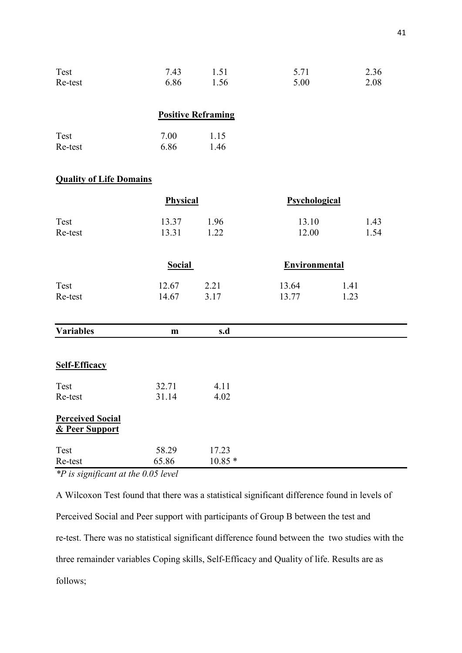| Test    | 7.43 | 1.51 | 5.71 | 2.36 |
|---------|------|------|------|------|
| Re-test | 6.86 | 1.56 | 5.00 | 2.08 |

## **Positive Reframing**

| Test    | 7.00 | 1.15 |
|---------|------|------|
| Re-test | 6.86 | 1.46 |

## **Quality of Life Domains**

|                                           | Physical       |                   | Psychological        |              |
|-------------------------------------------|----------------|-------------------|----------------------|--------------|
| Test<br>Re-test                           | 13.37<br>13.31 | 1.96<br>1.22      | 13.10<br>12.00       | 1.43<br>1.54 |
|                                           | <b>Social</b>  |                   | <b>Environmental</b> |              |
| Test<br>Re-test                           | 12.67<br>14.67 | 2.21<br>3.17      | 13.64<br>13.77       | 1.41<br>1.23 |
| <b>Variables</b>                          | $\mathbf{m}$   | s.d               |                      |              |
| <b>Self-Efficacy</b>                      |                |                   |                      |              |
| Test<br>Re-test                           | 32.71<br>31.14 | 4.11<br>4.02      |                      |              |
| <b>Perceived Social</b><br>& Peer Support |                |                   |                      |              |
| Test<br>Re-test                           | 58.29<br>65.86 | 17.23<br>$10.85*$ |                      |              |

*\*P is significant at the 0.05 level* 

A Wilcoxon Test found that there was a statistical significant difference found in levels of Perceived Social and Peer support with participants of Group B between the test and re-test. There was no statistical significant difference found between the two studies with the three remainder variables Coping skills, Self-Efficacy and Quality of life. Results are as follows;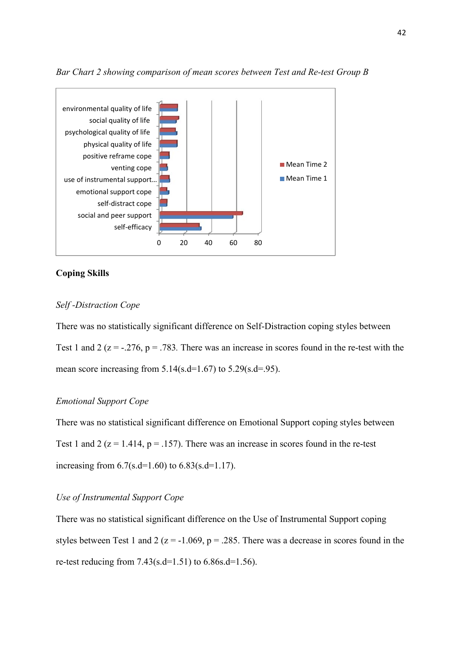

*Bar Chart 2 showing comparison of mean scores between Test and Re-test Group B* 

## **Coping Skills**

## *Self -Distraction Cope*

There was no statistically significant difference on Self-Distraction coping styles between Test 1 and 2 ( $z = -0.276$ ,  $p = 0.783$ . There was an increase in scores found in the re-test with the mean score increasing from  $5.14$ (s.d=1.67) to  $5.29$ (s.d=.95).

#### *Emotional Support Cope*

There was no statistical significant difference on Emotional Support coping styles between Test 1 and 2 ( $z = 1.414$ ,  $p = 0.157$ ). There was an increase in scores found in the re-test increasing from  $6.7$ (s.d=1.60) to  $6.83$ (s.d=1.17).

## *Use of Instrumental Support Cope*

There was no statistical significant difference on the Use of Instrumental Support coping styles between Test 1 and 2 ( $z = -1.069$ ,  $p = 0.285$ . There was a decrease in scores found in the re-test reducing from  $7.43$ (s.d=1.51) to 6.86s.d=1.56).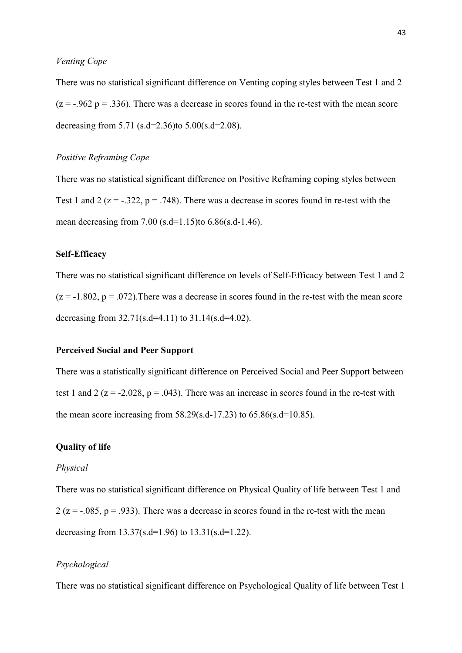## *Venting Cope*

There was no statistical significant difference on Venting coping styles between Test 1 and 2  $(z = -0.962 \text{ p} = 0.336)$ . There was a decrease in scores found in the re-test with the mean score decreasing from 5.71 (s.d=2.36)to  $5.00$ (s.d=2.08).

## *Positive Reframing Cope*

There was no statistical significant difference on Positive Reframing coping styles between Test 1 and 2 ( $z = -0.322$ ,  $p = 0.748$ ). There was a decrease in scores found in re-test with the mean decreasing from 7.00 (s.d=1.15)to  $6.86$ (s.d-1.46).

#### **Self-Efficacy**

There was no statistical significant difference on levels of Self-Efficacy between Test 1 and 2  $(z = -1.802, p = .072)$ . There was a decrease in scores found in the re-test with the mean score decreasing from  $32.71$ (s.d=4.11) to  $31.14$ (s.d=4.02).

## **Perceived Social and Peer Support**

There was a statistically significant difference on Perceived Social and Peer Support between test 1 and 2 ( $z = -2.028$ ,  $p = .043$ ). There was an increase in scores found in the re-test with the mean score increasing from  $58.29$ (s.d-17.23) to  $65.86$ (s.d=10.85).

## **Quality of life**

#### *Physical*

There was no statistical significant difference on Physical Quality of life between Test 1 and 2 ( $z = -0.085$ ,  $p = 0.933$ ). There was a decrease in scores found in the re-test with the mean decreasing from  $13.37$ (s.d=1.96) to  $13.31$ (s.d=1.22).

## *Psychological*

There was no statistical significant difference on Psychological Quality of life between Test 1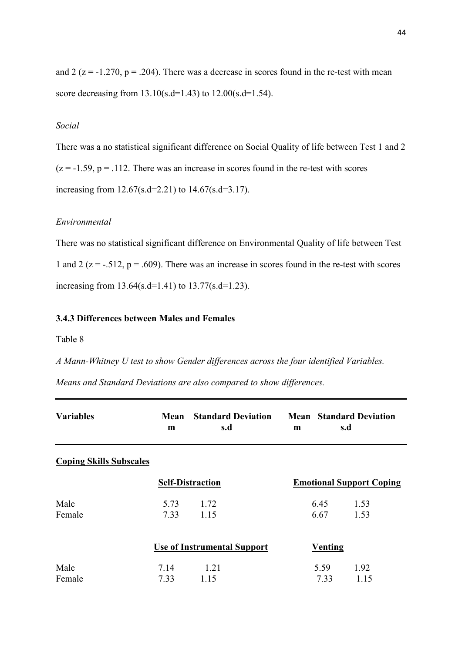and 2 ( $z = -1.270$ ,  $p = .204$ ). There was a decrease in scores found in the re-test with mean score decreasing from 13.10(s.d=1.43) to 12.00(s.d=1.54).

## *Social*

There was a no statistical significant difference on Social Quality of life between Test 1 and 2  $(z = -1.59, p = .112$ . There was an increase in scores found in the re-test with scores increasing from 12.67(s.d=2.21) to 14.67(s.d=3.17).

## *Environmental*

There was no statistical significant difference on Environmental Quality of life between Test 1 and 2 ( $z = -0.512$ ,  $p = 0.609$ ). There was an increase in scores found in the re-test with scores increasing from 13.64(s.d=1.41) to 13.77(s.d=1.23).

## **3.4.3 Differences between Males and Females**

Table 8

*A Mann-Whitney U test to show Gender differences across the four identified Variables.* 

*Means and Standard Deviations are also compared to show differences.* 

| <b>Variables</b>               | Mean<br>m               | <b>Standard Deviation</b><br>s.d   | m              | <b>Mean</b> Standard Deviation<br>s.d |
|--------------------------------|-------------------------|------------------------------------|----------------|---------------------------------------|
| <b>Coping Skills Subscales</b> |                         |                                    |                |                                       |
|                                | <b>Self-Distraction</b> |                                    |                | <b>Emotional Support Coping</b>       |
| Male<br>Female                 | 5.73<br>7.33            | 1.72<br>1.15                       | 6.45<br>6.67   | 1.53<br>1.53                          |
|                                |                         | <b>Use of Instrumental Support</b> | <b>Venting</b> |                                       |
| Male<br>Female                 | 7.14<br>7.33            | 1.21<br>1.15                       | 5.59<br>7.33   | 1.92<br>1.15                          |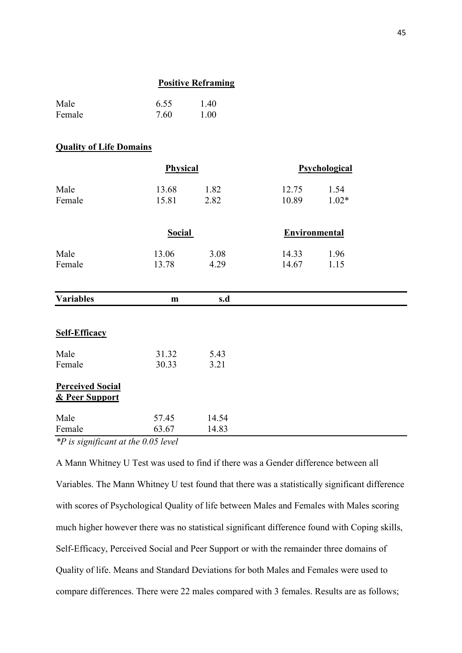#### **Positive Reframing**

| Male   | 6.55 | 1.40 |
|--------|------|------|
| Female | 7.60 | 1.00 |

#### **Quality of Life Domains**

|                                           | Physical       |                |                      | Psychological   |  |
|-------------------------------------------|----------------|----------------|----------------------|-----------------|--|
| Male<br>Female                            | 13.68<br>15.81 | 1.82<br>2.82   | 12.75<br>10.89       | 1.54<br>$1.02*$ |  |
|                                           | <b>Social</b>  |                | <b>Environmental</b> |                 |  |
| Male<br>Female                            | 13.06<br>13.78 | 3.08<br>4.29   | 14.33<br>14.67       | 1.96<br>1.15    |  |
| <b>Variables</b>                          | m              | s.d            |                      |                 |  |
| <b>Self-Efficacy</b>                      |                |                |                      |                 |  |
| Male<br>Female                            | 31.32<br>30.33 | 5.43<br>3.21   |                      |                 |  |
| <b>Perceived Social</b><br>& Peer Support |                |                |                      |                 |  |
| Male<br>Female                            | 57.45<br>63.67 | 14.54<br>14.83 |                      |                 |  |

*\*P is significant at the 0.05 level* 

A Mann Whitney U Test was used to find if there was a Gender difference between all Variables. The Mann Whitney U test found that there was a statistically significant difference with scores of Psychological Quality of life between Males and Females with Males scoring much higher however there was no statistical significant difference found with Coping skills, Self-Efficacy, Perceived Social and Peer Support or with the remainder three domains of Quality of life. Means and Standard Deviations for both Males and Females were used to compare differences. There were 22 males compared with 3 females. Results are as follows;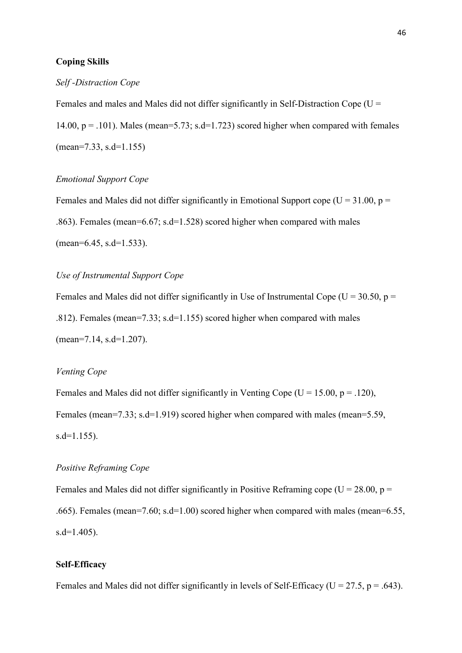## **Coping Skills**

#### *Self -Distraction Cope*

Females and males and Males did not differ significantly in Self-Distraction Cope ( $U =$ 14.00,  $p = .101$ ). Males (mean=5.73; s.d=1.723) scored higher when compared with females (mean=7.33, s.d=1.155)

#### *Emotional Support Cope*

Females and Males did not differ significantly in Emotional Support cope ( $U = 31.00$ ,  $p =$ .863). Females (mean=6.67; s.d=1.528) scored higher when compared with males (mean=6.45, s.d=1.533).

## *Use of Instrumental Support Cope*

Females and Males did not differ significantly in Use of Instrumental Cope ( $U = 30.50$ ,  $p =$ .812). Females (mean=7.33; s.d=1.155) scored higher when compared with males (mean=7.14, s.d=1.207).

## *Venting Cope*

Females and Males did not differ significantly in Venting Cope ( $U = 15.00$ ,  $p = .120$ ), Females (mean=7.33; s.d=1.919) scored higher when compared with males (mean=5.59, s.d=1.155).

## *Positive Reframing Cope*

Females and Males did not differ significantly in Positive Reframing cope ( $U = 28.00$ ,  $p =$ .665). Females (mean=7.60; s.d=1.00) scored higher when compared with males (mean=6.55,  $s.d=1.405$ ).

## **Self-Efficacy**

Females and Males did not differ significantly in levels of Self-Efficacy ( $U = 27.5$ ,  $p = .643$ ).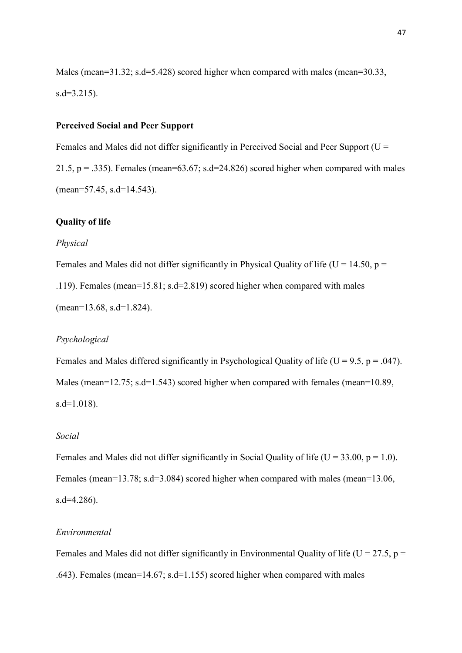Males (mean=31.32; s.d=5.428) scored higher when compared with males (mean=30.33, s.d=3.215).

## **Perceived Social and Peer Support**

Females and Males did not differ significantly in Perceived Social and Peer Support ( $U =$ 21.5,  $p = .335$ ). Females (mean=63.67; s.d=24.826) scored higher when compared with males (mean=57.45, s.d=14.543).

#### **Quality of life**

#### *Physical*

Females and Males did not differ significantly in Physical Quality of life ( $U = 14.50$ ,  $p =$ .119). Females (mean=15.81; s.d=2.819) scored higher when compared with males (mean=13.68, s.d=1.824).

#### *Psychological*

Females and Males differed significantly in Psychological Quality of life (U = 9.5, p = .047). Males (mean=12.75; s.d=1.543) scored higher when compared with females (mean=10.89, s.d=1.018).

### *Social*

Females and Males did not differ significantly in Social Quality of life ( $U = 33.00$ ,  $p = 1.0$ ). Females (mean=13.78; s.d=3.084) scored higher when compared with males (mean=13.06, s.d=4.286).

## *Environmental*

Females and Males did not differ significantly in Environmental Quality of life ( $U = 27.5$ ,  $p =$ .643). Females (mean=14.67; s.d=1.155) scored higher when compared with males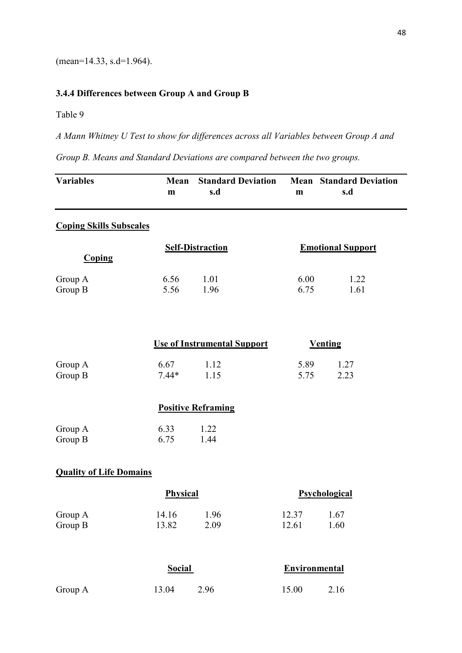(mean=14.33, s.d=1.964).

## **3.4.4 Differences between Group A and Group B**

Table 9

*A Mann Whitney U Test to show for differences across all Variables between Group A and* 

*Group B. Means and Standard Deviations are compared between the two groups.* 

| <b>Variables</b>               | Mean<br>m       | <b>Standard Deviation</b><br>s.d   | $\mathbf{m}$         | <b>Mean</b> Standard Deviation<br>s.d |
|--------------------------------|-----------------|------------------------------------|----------------------|---------------------------------------|
| <b>Coping Skills Subscales</b> |                 |                                    |                      |                                       |
| <b>Coping</b>                  |                 | <b>Self-Distraction</b>            |                      | <b>Emotional Support</b>              |
| Group A<br>Group B             | 6.56<br>5.56    | 1.01<br>1.96                       | 6.00<br>6.75         | 1.22<br>1.61                          |
|                                |                 | <b>Use of Instrumental Support</b> |                      | <b>Venting</b>                        |
| Group A<br>Group B             | 6.67<br>$7.44*$ | 1.12<br>1.15                       | 5.89<br>5.75         | 1.27<br>2.23                          |
|                                |                 | <b>Positive Reframing</b>          |                      |                                       |
| Group A<br>Group B             | 6.33<br>6.75    | 1.22<br>1.44                       |                      |                                       |
| <b>Quality of Life Domains</b> |                 |                                    |                      |                                       |
|                                | Physical        |                                    |                      | Psychological                         |
| Group A<br>Group B             | 14.16<br>13.82  | 1.96<br>2.09                       | 12.37<br>12.61       | 1.67<br>1.60                          |
|                                | <b>Social</b>   |                                    | <b>Environmental</b> |                                       |
| Group A                        | 13.04           | 2.96                               | 15.00                | 2.16                                  |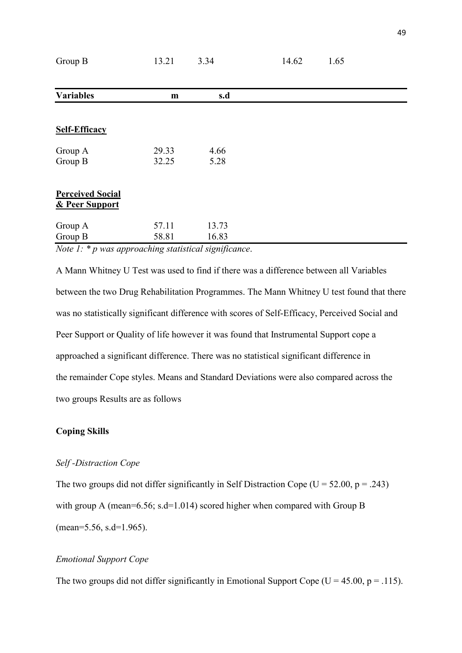| Group B                 | 13.21        | 3.34  | 14.62 | 1.65 |  |
|-------------------------|--------------|-------|-------|------|--|
|                         |              |       |       |      |  |
| <b>Variables</b>        | $\mathbf{m}$ | s.d   |       |      |  |
|                         |              |       |       |      |  |
| <b>Self-Efficacy</b>    |              |       |       |      |  |
| Group A                 | 29.33        | 4.66  |       |      |  |
| Group B                 | 32.25        | 5.28  |       |      |  |
| <b>Perceived Social</b> |              |       |       |      |  |
| & Peer Support          |              |       |       |      |  |
| Group A                 | 57.11        | 13.73 |       |      |  |
| Group B                 | 58.81        | 16.83 |       |      |  |

*Note 1: \* p was approaching statistical significance*.

A Mann Whitney U Test was used to find if there was a difference between all Variables between the two Drug Rehabilitation Programmes. The Mann Whitney U test found that there was no statistically significant difference with scores of Self-Efficacy, Perceived Social and Peer Support or Quality of life however it was found that Instrumental Support cope a approached a significant difference. There was no statistical significant difference in the remainder Cope styles. Means and Standard Deviations were also compared across the two groups Results are as follows

## **Coping Skills**

## *Self -Distraction Cope*

The two groups did not differ significantly in Self Distraction Cope ( $U = 52.00$ ,  $p = .243$ ) with group A (mean=6.56; s.d=1.014) scored higher when compared with Group B (mean=5.56, s.d=1.965).

## *Emotional Support Cope*

The two groups did not differ significantly in Emotional Support Cope ( $U = 45.00$ ,  $p = .115$ ).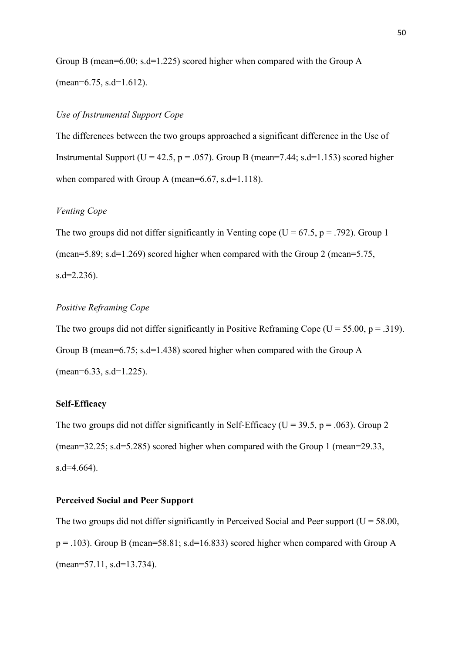Group B (mean=6.00; s.d=1.225) scored higher when compared with the Group A (mean=6.75, s.d=1.612).

## *Use of Instrumental Support Cope*

The differences between the two groups approached a significant difference in the Use of Instrumental Support ( $U = 42.5$ ,  $p = .057$ ). Group B (mean=7.44; s.d=1.153) scored higher when compared with Group A (mean=6.67, s.d=1.118).

## *Venting Cope*

The two groups did not differ significantly in Venting cope ( $U = 67.5$ ,  $p = .792$ ). Group 1 (mean=5.89; s.d=1.269) scored higher when compared with the Group 2 (mean=5.75,  $s.d = 2.236$ .

## *Positive Reframing Cope*

The two groups did not differ significantly in Positive Reframing Cope ( $U = 55.00$ ,  $p = .319$ ). Group B (mean=6.75; s.d=1.438) scored higher when compared with the Group A (mean=6.33, s.d=1.225).

## **Self-Efficacy**

The two groups did not differ significantly in Self-Efficacy ( $U = 39.5$ ,  $p = .063$ ). Group 2 (mean=32.25; s.d=5.285) scored higher when compared with the Group 1 (mean=29.33, s.d=4.664).

#### **Perceived Social and Peer Support**

The two groups did not differ significantly in Perceived Social and Peer support ( $U = 58.00$ ,  $p = .103$ ). Group B (mean=58.81; s.d=16.833) scored higher when compared with Group A (mean=57.11, s.d=13.734).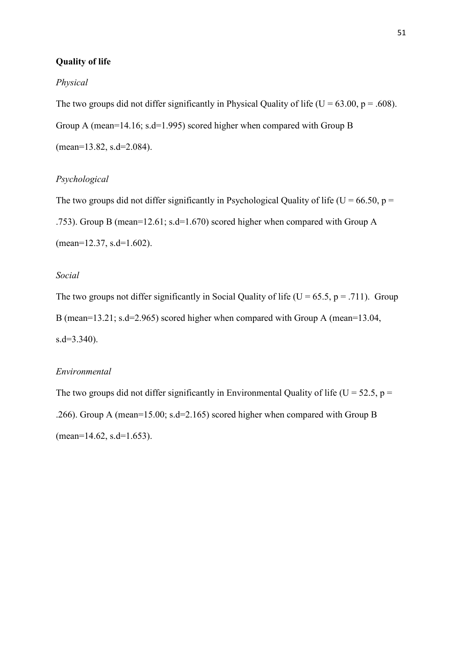## **Quality of life**

#### *Physical*

The two groups did not differ significantly in Physical Quality of life ( $U = 63.00$ ,  $p = .608$ ). Group A (mean=14.16; s.d=1.995) scored higher when compared with Group B (mean=13.82, s.d=2.084).

## *Psychological*

The two groups did not differ significantly in Psychological Quality of life ( $U = 66.50$ ,  $p =$ .753). Group B (mean=12.61; s.d=1.670) scored higher when compared with Group A (mean=12.37, s.d=1.602).

## *Social*

The two groups not differ significantly in Social Quality of life ( $U = 65.5$ ,  $p = .711$ ). Group B (mean=13.21; s.d=2.965) scored higher when compared with Group A (mean=13.04, s.d=3.340).

## *Environmental*

The two groups did not differ significantly in Environmental Quality of life ( $U = 52.5$ ,  $p =$ .266). Group A (mean=15.00; s.d=2.165) scored higher when compared with Group B  $(\text{mean}=14.62, \text{ s.d}=1.653).$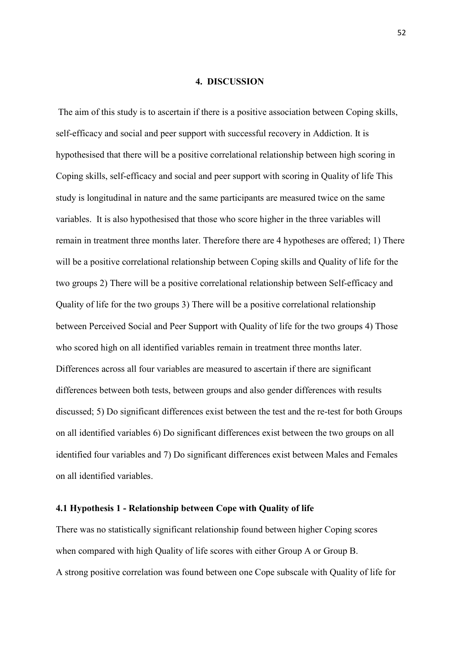## **4. DISCUSSION**

 The aim of this study is to ascertain if there is a positive association between Coping skills, self-efficacy and social and peer support with successful recovery in Addiction. It is hypothesised that there will be a positive correlational relationship between high scoring in Coping skills, self-efficacy and social and peer support with scoring in Quality of life This study is longitudinal in nature and the same participants are measured twice on the same variables. It is also hypothesised that those who score higher in the three variables will remain in treatment three months later. Therefore there are 4 hypotheses are offered; 1) There will be a positive correlational relationship between Coping skills and Quality of life for the two groups 2) There will be a positive correlational relationship between Self-efficacy and Quality of life for the two groups 3) There will be a positive correlational relationship between Perceived Social and Peer Support with Quality of life for the two groups 4) Those who scored high on all identified variables remain in treatment three months later. Differences across all four variables are measured to ascertain if there are significant differences between both tests, between groups and also gender differences with results discussed; 5) Do significant differences exist between the test and the re-test for both Groups on all identified variables 6) Do significant differences exist between the two groups on all identified four variables and 7) Do significant differences exist between Males and Females on all identified variables.

#### **4.1 Hypothesis 1 - Relationship between Cope with Quality of life**

There was no statistically significant relationship found between higher Coping scores when compared with high Quality of life scores with either Group A or Group B. A strong positive correlation was found between one Cope subscale with Quality of life for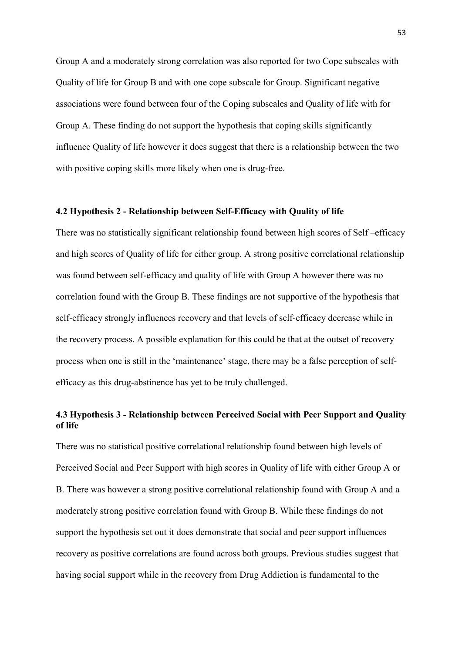Group A and a moderately strong correlation was also reported for two Cope subscales with Quality of life for Group B and with one cope subscale for Group. Significant negative associations were found between four of the Coping subscales and Quality of life with for Group A. These finding do not support the hypothesis that coping skills significantly influence Quality of life however it does suggest that there is a relationship between the two with positive coping skills more likely when one is drug-free.

## **4.2 Hypothesis 2 - Relationship between Self-Efficacy with Quality of life**

There was no statistically significant relationship found between high scores of Self –efficacy and high scores of Quality of life for either group. A strong positive correlational relationship was found between self-efficacy and quality of life with Group A however there was no correlation found with the Group B. These findings are not supportive of the hypothesis that self-efficacy strongly influences recovery and that levels of self-efficacy decrease while in the recovery process. A possible explanation for this could be that at the outset of recovery process when one is still in the 'maintenance' stage, there may be a false perception of selfefficacy as this drug-abstinence has yet to be truly challenged.

## **4.3 Hypothesis 3 - Relationship between Perceived Social with Peer Support and Quality of life**

There was no statistical positive correlational relationship found between high levels of Perceived Social and Peer Support with high scores in Quality of life with either Group A or B. There was however a strong positive correlational relationship found with Group A and a moderately strong positive correlation found with Group B. While these findings do not support the hypothesis set out it does demonstrate that social and peer support influences recovery as positive correlations are found across both groups. Previous studies suggest that having social support while in the recovery from Drug Addiction is fundamental to the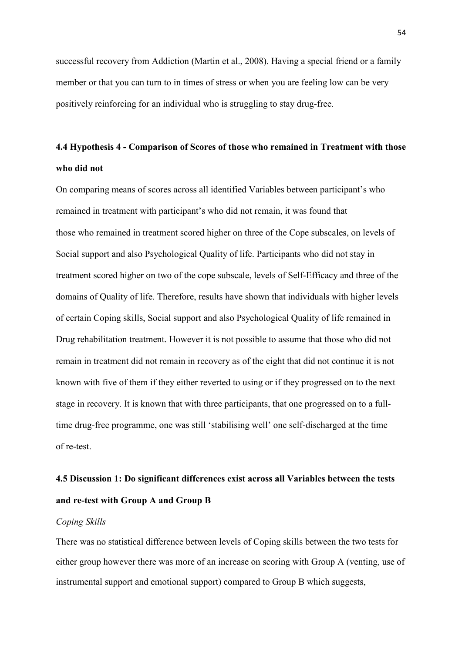successful recovery from Addiction (Martin et al., 2008). Having a special friend or a family member or that you can turn to in times of stress or when you are feeling low can be very positively reinforcing for an individual who is struggling to stay drug-free.

# **4.4 Hypothesis 4 - Comparison of Scores of those who remained in Treatment with those who did not**

On comparing means of scores across all identified Variables between participant's who remained in treatment with participant's who did not remain, it was found that those who remained in treatment scored higher on three of the Cope subscales, on levels of Social support and also Psychological Quality of life. Participants who did not stay in treatment scored higher on two of the cope subscale, levels of Self-Efficacy and three of the domains of Quality of life. Therefore, results have shown that individuals with higher levels of certain Coping skills, Social support and also Psychological Quality of life remained in Drug rehabilitation treatment. However it is not possible to assume that those who did not remain in treatment did not remain in recovery as of the eight that did not continue it is not known with five of them if they either reverted to using or if they progressed on to the next stage in recovery. It is known that with three participants, that one progressed on to a fulltime drug-free programme, one was still 'stabilising well' one self-discharged at the time of re-test.

# **4.5 Discussion 1: Do significant differences exist across all Variables between the tests and re-test with Group A and Group B**

### *Coping Skills*

There was no statistical difference between levels of Coping skills between the two tests for either group however there was more of an increase on scoring with Group A (venting, use of instrumental support and emotional support) compared to Group B which suggests,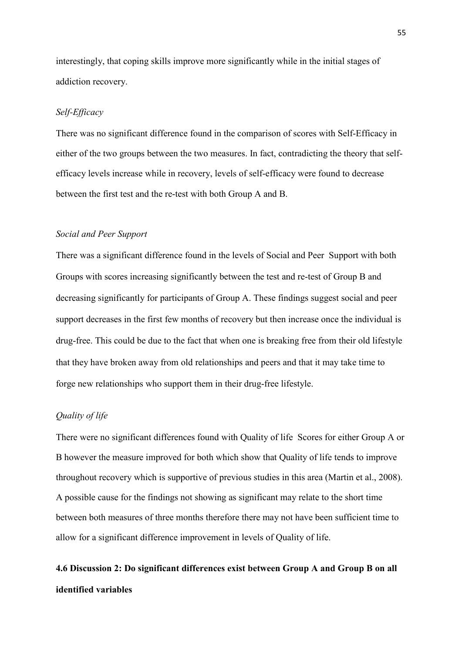interestingly, that coping skills improve more significantly while in the initial stages of addiction recovery.

## *Self-Efficacy*

There was no significant difference found in the comparison of scores with Self-Efficacy in either of the two groups between the two measures. In fact, contradicting the theory that selfefficacy levels increase while in recovery, levels of self-efficacy were found to decrease between the first test and the re-test with both Group A and B.

## *Social and Peer Support*

There was a significant difference found in the levels of Social and Peer Support with both Groups with scores increasing significantly between the test and re-test of Group B and decreasing significantly for participants of Group A. These findings suggest social and peer support decreases in the first few months of recovery but then increase once the individual is drug-free. This could be due to the fact that when one is breaking free from their old lifestyle that they have broken away from old relationships and peers and that it may take time to forge new relationships who support them in their drug-free lifestyle.

#### *Quality of life*

There were no significant differences found with Quality of life Scores for either Group A or B however the measure improved for both which show that Quality of life tends to improve throughout recovery which is supportive of previous studies in this area (Martin et al., 2008). A possible cause for the findings not showing as significant may relate to the short time between both measures of three months therefore there may not have been sufficient time to allow for a significant difference improvement in levels of Quality of life.

# **4.6 Discussion 2: Do significant differences exist between Group A and Group B on all identified variables**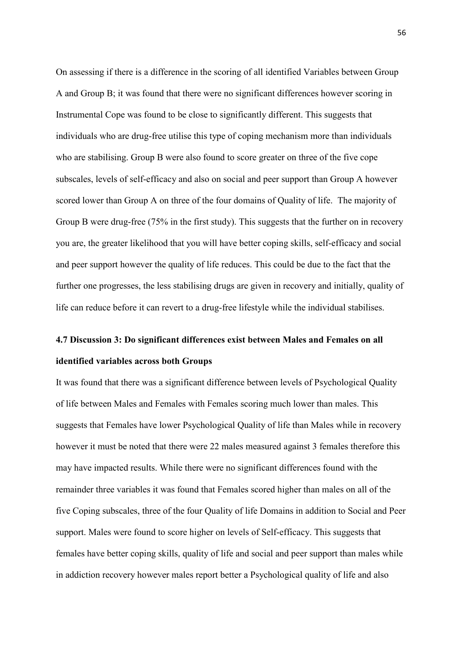On assessing if there is a difference in the scoring of all identified Variables between Group A and Group B; it was found that there were no significant differences however scoring in Instrumental Cope was found to be close to significantly different. This suggests that individuals who are drug-free utilise this type of coping mechanism more than individuals who are stabilising. Group B were also found to score greater on three of the five cope subscales, levels of self-efficacy and also on social and peer support than Group A however scored lower than Group A on three of the four domains of Quality of life. The majority of Group B were drug-free (75% in the first study). This suggests that the further on in recovery you are, the greater likelihood that you will have better coping skills, self-efficacy and social and peer support however the quality of life reduces. This could be due to the fact that the further one progresses, the less stabilising drugs are given in recovery and initially, quality of life can reduce before it can revert to a drug-free lifestyle while the individual stabilises.

# **4.7 Discussion 3: Do significant differences exist between Males and Females on all identified variables across both Groups**

It was found that there was a significant difference between levels of Psychological Quality of life between Males and Females with Females scoring much lower than males. This suggests that Females have lower Psychological Quality of life than Males while in recovery however it must be noted that there were 22 males measured against 3 females therefore this may have impacted results. While there were no significant differences found with the remainder three variables it was found that Females scored higher than males on all of the five Coping subscales, three of the four Quality of life Domains in addition to Social and Peer support. Males were found to score higher on levels of Self-efficacy. This suggests that females have better coping skills, quality of life and social and peer support than males while in addiction recovery however males report better a Psychological quality of life and also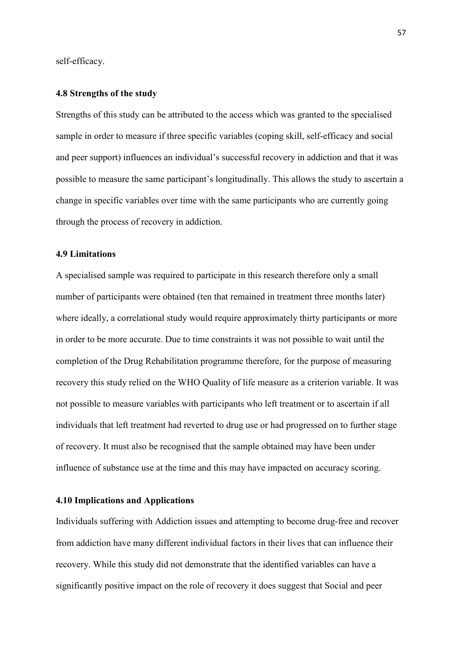self-efficacy.

#### **4.8 Strengths of the study**

Strengths of this study can be attributed to the access which was granted to the specialised sample in order to measure if three specific variables (coping skill, self-efficacy and social and peer support) influences an individual's successful recovery in addiction and that it was possible to measure the same participant's longitudinally. This allows the study to ascertain a change in specific variables over time with the same participants who are currently going through the process of recovery in addiction.

#### **4.9 Limitations**

A specialised sample was required to participate in this research therefore only a small number of participants were obtained (ten that remained in treatment three months later) where ideally, a correlational study would require approximately thirty participants or more in order to be more accurate. Due to time constraints it was not possible to wait until the completion of the Drug Rehabilitation programme therefore, for the purpose of measuring recovery this study relied on the WHO Quality of life measure as a criterion variable. It was not possible to measure variables with participants who left treatment or to ascertain if all individuals that left treatment had reverted to drug use or had progressed on to further stage of recovery. It must also be recognised that the sample obtained may have been under influence of substance use at the time and this may have impacted on accuracy scoring.

#### **4.10 Implications and Applications**

Individuals suffering with Addiction issues and attempting to become drug-free and recover from addiction have many different individual factors in their lives that can influence their recovery. While this study did not demonstrate that the identified variables can have a significantly positive impact on the role of recovery it does suggest that Social and peer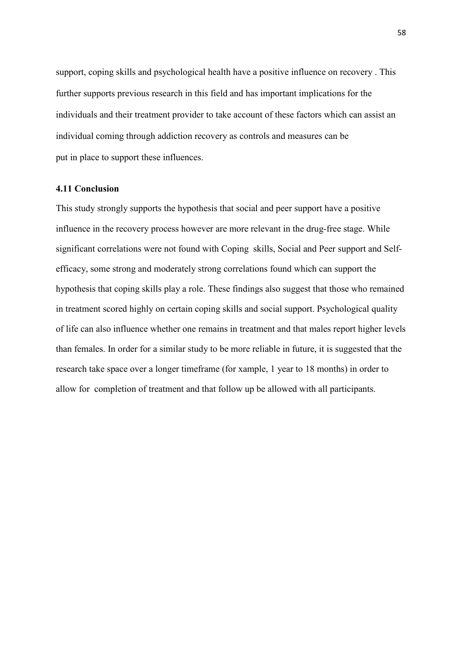support, coping skills and psychological health have a positive influence on recovery . This further supports previous research in this field and has important implications for the individuals and their treatment provider to take account of these factors which can assist an individual coming through addiction recovery as controls and measures can be put in place to support these influences.

## **4.11 Conclusion**

This study strongly supports the hypothesis that social and peer support have a positive influence in the recovery process however are more relevant in the drug-free stage. While significant correlations were not found with Coping skills, Social and Peer support and Selfefficacy, some strong and moderately strong correlations found which can support the hypothesis that coping skills play a role. These findings also suggest that those who remained in treatment scored highly on certain coping skills and social support. Psychological quality of life can also influence whether one remains in treatment and that males report higher levels than females. In order for a similar study to be more reliable in future, it is suggested that the research take space over a longer timeframe (for xample, 1 year to 18 months) in order to allow for completion of treatment and that follow up be allowed with all participants.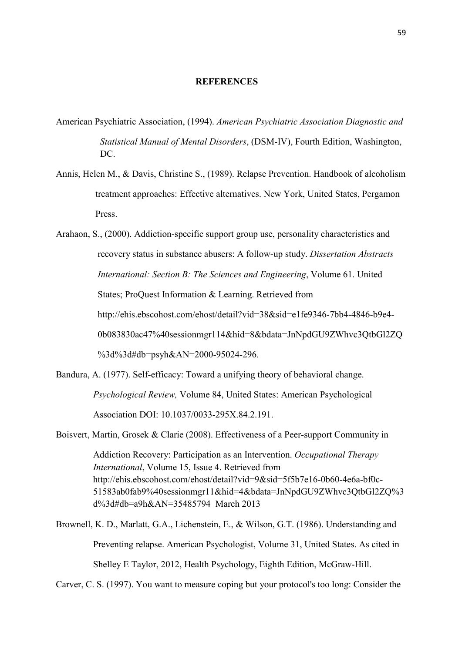### **REFERENCES**

- American Psychiatric Association, (1994). *American Psychiatric Association Diagnostic and Statistical Manual of Mental Disorders*, (DSM-IV), Fourth Edition, Washington, DC.
- Annis, Helen M., & Davis, Christine S., (1989). Relapse Prevention. Handbook of alcoholism treatment approaches: Effective alternatives. New York, United States, Pergamon Press.
- Arahaon, S., (2000). Addiction-specific support group use, personality characteristics and recovery status in substance abusers: A follow-up study. *Dissertation Abstracts International: Section B: The Sciences and Engineering*, Volume 61. United States; ProQuest Information & Learning. Retrieved from http://ehis.ebscohost.com/ehost/detail?vid=38&sid=e1fe9346-7bb4-4846-b9e4- 0b083830ac47%40sessionmgr114&hid=8&bdata=JnNpdGU9ZWhvc3QtbGl2ZQ %3d%3d#db=psyh&AN=2000-95024-296.

Bandura, A. (1977). Self-efficacy: Toward a unifying theory of behavioral change. *Psychological Review,* Volume 84, United States: American Psychological

Association DOI: 10.1037/0033-295X.84.2.191.

Boisvert, Martin, Grosek & Clarie (2008). Effectiveness of a Peer-support Community in

Addiction Recovery: Participation as an Intervention. *Occupational Therapy International*, Volume 15, Issue 4. Retrieved from http://ehis.ebscohost.com/ehost/detail?vid=9&sid=5f5b7e16-0b60-4e6a-bf0c-51583ab0fab9%40sessionmgr11&hid=4&bdata=JnNpdGU9ZWhvc3QtbGl2ZQ%3 d%3d#db=a9h&AN=35485794 March 2013

Brownell, K. D., Marlatt, G.A., Lichenstein, E., & Wilson, G.T. (1986). Understanding and Preventing relapse. American Psychologist, Volume 31, United States. As cited in Shelley E Taylor, 2012, Health Psychology, Eighth Edition, McGraw-Hill.

Carver, C. S. (1997). You want to measure coping but your protocol's too long: Consider the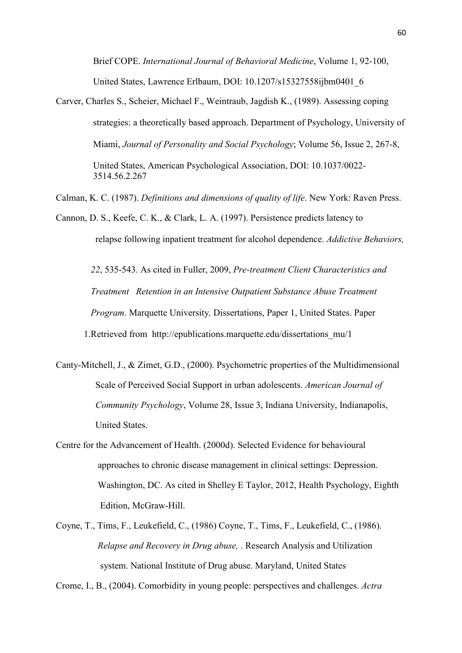Brief COPE. *International Journal of Behavioral Medicine*, Volume 1, 92-100, United States, Lawrence Erlbaum, DOI: 10.1207/s15327558ijbm0401\_6

Carver, Charles S., Scheier, Michael F., Weintraub, Jagdish K., (1989). Assessing coping strategies: a theoretically based approach. Department of Psychology, University of Miami, *Journal of Personality and Social Psychology*; Volume 56, Issue 2, 267-8, United States, American Psychological Association, DOI: 10.1037/0022- 3514.56.2.267

Calman, K. C. (1987). *Definitions and dimensions of quality of life*. New York: Raven Press.

Cannon, D. S., Keefe, C. K., & Clark, L. A. (1997). Persistence predicts latency to relapse following inpatient treatment for alcohol dependence. *Addictive Behaviors,* 

 *22*, 535-543. As cited in Fuller, 2009, *Pre-treatment Client Characteristics and Treatment Retention in an Intensive Outpatient Substance Abuse Treatment Program*. Marquette University*,* Dissertations, Paper 1, United States. Paper 1.Retrieved from http://epublications.marquette.edu/dissertations\_mu/1

- Canty-Mitchell, J., & Zimet, G.D., (2000). Psychometric properties of the Multidimensional Scale of Perceived Social Support in urban adolescents. *American Journal of Community Psychology*, Volume 28, Issue 3, Indiana University, Indianapolis, *<u>United States</u>*
- Centre for the Advancement of Health. (2000d). Selected Evidence for behavioural approaches to chronic disease management in clinical settings: Depression. Washington, DC. As cited in Shelley E Taylor, 2012, Health Psychology, Eighth Edition, McGraw-Hill.
- Coyne, T., Tims, F., Leukefield, C., (1986) Coyne, T., Tims, F., Leukefield, C., (1986). *Relapse and Recovery in Drug abuse,* . Research Analysis and Utilization system. National Institute of Drug abuse. Maryland, United States

Crome, I., B., (2004). Comorbidity in young people: perspectives and challenges. *Actra*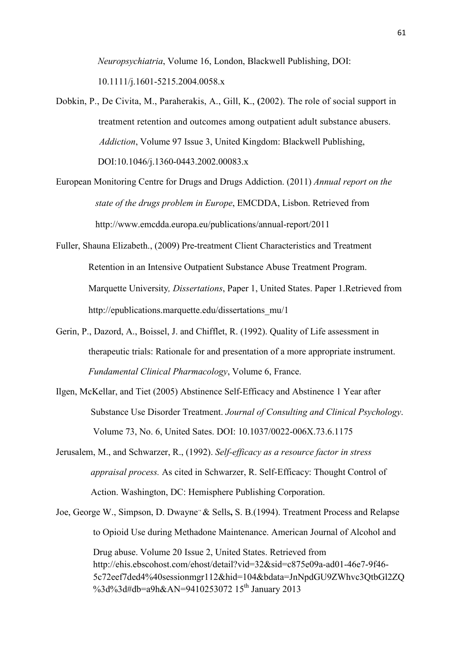*Neuropsychiatria*, Volume 16, London, Blackwell Publishing, DOI: 10.1111/j.1601-5215.2004.0058.x

- Dobkin, P., De Civita, M., Paraherakis, A., Gill, K., **(**2002). The role of social support in treatment retention and outcomes among outpatient adult substance abusers. *Addiction*, Volume 97 Issue 3, United Kingdom: Blackwell Publishing, DOI:10.1046/j.1360-0443.2002.00083.x
- European Monitoring Centre for Drugs and Drugs Addiction. (2011) *Annual report on the state of the drugs problem in Europe*, EMCDDA, Lisbon. Retrieved from http://www.emcdda.europa.eu/publications/annual-report/2011
- Fuller, Shauna Elizabeth., (2009) Pre-treatment Client Characteristics and Treatment Retention in an Intensive Outpatient Substance Abuse Treatment Program. Marquette University*, Dissertations*, Paper 1, United States. Paper 1.Retrieved from http://epublications.marquette.edu/dissertations\_mu/1
- Gerin, P., Dazord, A., Boissel, J. and Chifflet, R. (1992). Quality of Life assessment in therapeutic trials: Rationale for and presentation of a more appropriate instrument.  *Fundamental Clinical Pharmacology*, Volume 6, France.
- Ilgen, McKellar, and Tiet (2005) Abstinence Self-Efficacy and Abstinence 1 Year after Substance Use Disorder Treatment. *Journal of Consulting and Clinical Psychology*. Volume 73, No. 6, United Sates. DOI: 10.1037/0022-006X.73.6.1175
- Jerusalem, M., and Schwarzer, R., (1992). *Self-efficacy as a resource factor in stress appraisal process.* As cited in Schwarzer, R. Self-Efficacy: Thought Control of Action. Washington, DC: Hemisphere Publishing Corporation.
- Joe, George W., Simpson, D. Dwayne<sup>3</sup> & Sells, S. B. (1994). Treatment Process and Relapse to Opioid Use during Methadone Maintenance. American Journal of Alcohol and Drug abuse. Volume 20 Issue 2, United States. Retrieved from http://ehis.ebscohost.com/ehost/detail?vid=32&sid=c875e09a-ad01-46e7-9f46- 5c72eef7ded4%40sessionmgr112&hid=104&bdata=JnNpdGU9ZWhvc3QtbGl2ZQ %3d%3d#db=a9h&AN=9410253072 15<sup>th</sup> January 2013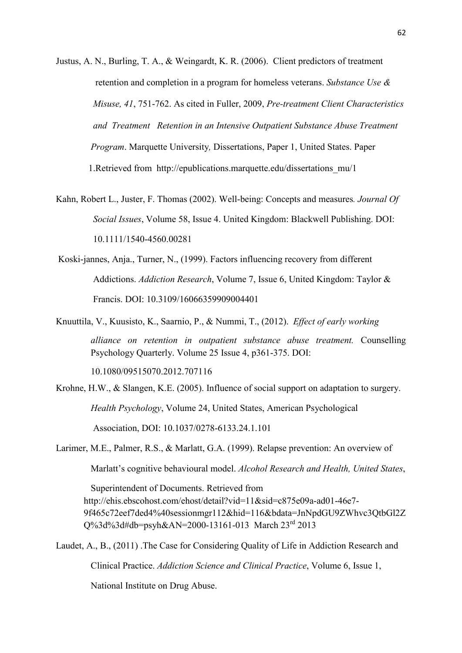Justus, A. N., Burling, T. A., & Weingardt, K. R. (2006). Client predictors of treatment retention and completion in a program for homeless veterans. *Substance Use & Misuse, 41*, 751-762. As cited in Fuller, 2009, *Pre-treatment Client Characteristics and Treatment Retention in an Intensive Outpatient Substance Abuse Treatment Program*. Marquette University*,* Dissertations, Paper 1, United States. Paper 1.Retrieved from http://epublications.marquette.edu/dissertations\_mu/1

- Kahn, Robert L., Juster, F. Thomas (2002). Well-being: Concepts and measures*. Journal Of Social Issues*, Volume 58, Issue 4. United Kingdom: Blackwell Publishing. DOI: 10.1111/1540-4560.00281
- Koski-jannes, Anja., Turner, N., (1999). Factors influencing recovery from different Addictions. *Addiction Research*, Volume 7, Issue 6, United Kingdom: Taylor & Francis. DOI: 10.3109/16066359909004401

Knuuttila, V., Kuusisto, K., Saarnio, P., & Nummi, T., (2012). *Effect of early working alliance on retention in outpatient substance abuse treatment.* Counselling Psychology Quarterly. Volume 25 Issue 4, p361-375. DOI:

10.1080/09515070.2012.707116

Krohne, H.W., & Slangen, K.E. (2005). Influence of social support on adaptation to surgery. *Health Psychology*, Volume 24, United States, American Psychological Association, DOI: 10.1037/0278-6133.24.1.101

Larimer, M.E., Palmer, R.S., & Marlatt, G.A. (1999). Relapse prevention: An overview of

Marlatt's cognitive behavioural model. *Alcohol Research and Health, United States*,

 Superintendent of Documents. Retrieved from http://ehis.ebscohost.com/ehost/detail?vid=11&sid=c875e09a-ad01-46e7- 9f465c72eef7ded4%40sessionmgr112&hid=116&bdata=JnNpdGU9ZWhvc3QtbGl2Z

Q%3d%3d#db=psyh&AN=2000-13161-013 March 23rd 2013 Laudet, A., B., (2011) .The Case for Considering Quality of Life in Addiction Research and

Clinical Practice. *Addiction Science and Clinical Practice*, Volume 6, Issue 1,

National Institute on Drug Abuse.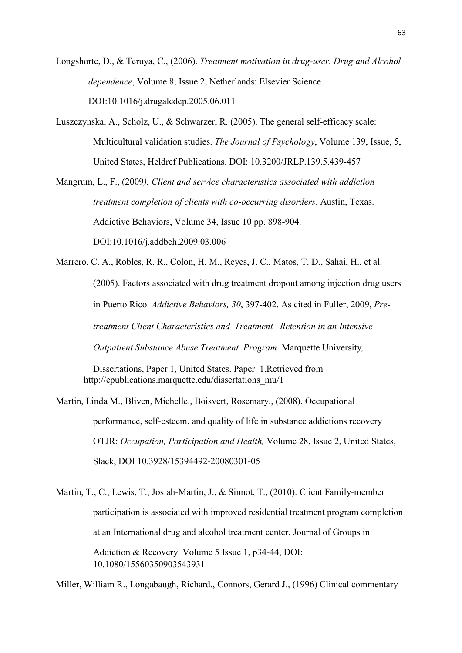Longshorte, D., & Teruya, C., (2006). *Treatment motivation in drug-user. Drug and Alcohol dependence*, Volume 8, Issue 2, Netherlands: Elsevier Science. DOI:10.1016/j.drugalcdep.2005.06.011

Luszczynska, A., Scholz, U., & Schwarzer, R. (2005). The general self-efficacy scale: Multicultural validation studies. *The Journal of Psychology*, Volume 139, Issue, 5, United States, Heldref Publications. DOI: 10.3200/JRLP.139.5.439-457

Mangrum, L., F., (2009*). Client and service characteristics associated with addiction treatment completion of clients with co-occurring disorders*. Austin, Texas. Addictive Behaviors, Volume 34, Issue 10 pp. 898-904. DOI:10.1016/j.addbeh.2009.03.006

Marrero, C. A., Robles, R. R., Colon, H. M., Reyes, J. C., Matos, T. D., Sahai, H., et al. (2005). Factors associated with drug treatment dropout among injection drug users in Puerto Rico. *Addictive Behaviors, 30*, 397-402. As cited in Fuller, 2009, *Pretreatment Client Characteristics and Treatment Retention in an Intensive Outpatient Substance Abuse Treatment Program*. Marquette University*,* 

Dissertations, Paper 1, United States. Paper 1.Retrieved from http://epublications.marquette.edu/dissertations\_mu/1

Martin, Linda M., Bliven, Michelle., Boisvert, Rosemary., (2008). Occupational performance, self-esteem, and quality of life in substance addictions recovery OTJR: *Occupation, Participation and Health,* Volume 28, Issue 2, United States, Slack, DOI 10.3928/15394492-20080301-05

Martin, T., C., Lewis, T., Josiah-Martin, J., & Sinnot, T., (2010). Client Family-member participation is associated with improved residential treatment program completion at an International drug and alcohol treatment center. Journal of Groups in Addiction & Recovery. Volume 5 Issue 1, p34-44, DOI: 10.1080/15560350903543931

Miller, William R., Longabaugh, Richard., Connors, Gerard J., (1996) Clinical commentary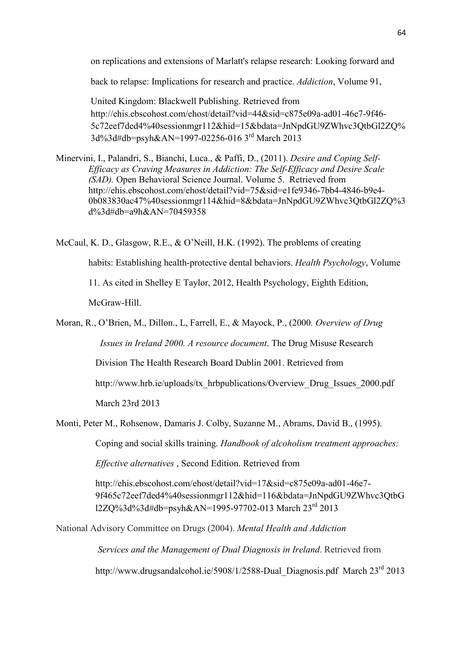on replications and extensions of Marlatt's relapse research: Looking forward and

back to relapse: Implications for research and practice. *Addiction*, Volume 91,

United Kingdom: Blackwell Publishing. Retrieved from http://ehis.ebscohost.com/ehost/detail?vid=44&sid=c875e09a-ad01-46e7-9f46- 5c72eef7ded4%40sessionmgr112&hid=15&bdata=JnNpdGU9ZWhvc3QtbGl2ZQ% 3d%3d#db=psyh&AN=1997-02256-016 3rd March 2013

Minervini, I., Palandri, S., Bianchi, Luca., & Paffi, D., (2011). *Desire and Coping Self-Efficacy as Craving Measures in Addiction: The Self-Efficacy and Desire Scale (SAD).* Open Behavioral Science Journal. Volume 5. Retrieved from http://ehis.ebscohost.com/ehost/detail?vid=75&sid=e1fe9346-7bb4-4846-b9e4- 0b083830ac47%40sessionmgr114&hid=8&bdata=JnNpdGU9ZWhvc3QtbGl2ZQ%3 d%3d#db=a9h&AN=70459358

McCaul, K. D., Glasgow, R.E., & O'Neill, H.K. (1992). The problems of creating habits: Establishing health-protective dental behaviors. *Health Psychology*, Volume 11. As cited in Shelley E Taylor, 2012, Health Psychology, Eighth Edition, McGraw-Hill.

Moran, R., O'Brien, M., Dillon., L, Farrell, E., & Mayock, P., (2000*. Overview of Drug Issues in Ireland 2000. A resource document*. The Drug Misuse Research

Division The Health Research Board Dublin 2001. Retrieved from

http://www.hrb.ie/uploads/tx\_hrbpublications/Overview\_Drug\_Issues\_2000.pdf

March 23rd 2013

Monti, Peter M., Rohsenow, Damaris J. Colby, Suzanne M., Abrams, David B., (1995).

Coping and social skills training. *Handbook of alcoholism treatment approaches:* 

*Effective alternatives* , Second Edition. Retrieved from

http://ehis.ebscohost.com/ehost/detail?vid=17&sid=c875e09a-ad01-46e7- 9f465c72eef7ded4%40sessionmgr112&hid=116&bdata=JnNpdGU9ZWhvc3QtbG l2ZQ%3d%3d#db=psyh&AN=1995-97702-013 March 23rd 2013

National Advisory Committee on Drugs (2004). *Mental Health and Addiction* 

 *Services and the Management of Dual Diagnosis in Ireland*. Retrieved from

http://www.drugsandalcohol.ie/5908/1/2588-Dual Diagnosis.pdf March 23<sup>rd</sup> 2013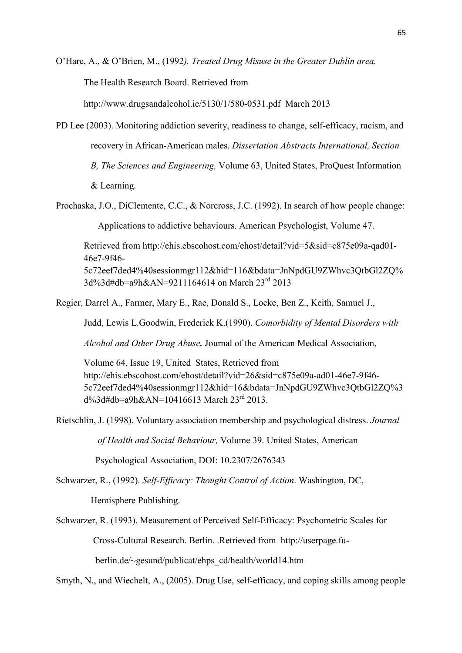O'Hare, A., & O'Brien, M., (1992*). Treated Drug Misuse in the Greater Dublin area.*

The Health Research Board. Retrieved from

http://www.drugsandalcohol.ie/5130/1/580-0531.pdf March 2013

PD Lee (2003). Monitoring addiction severity, readiness to change, self-efficacy, racism, and recovery in African-American males. *Dissertation Abstracts International, Section B, The Sciences and Engineering,* Volume 63, United States, ProQuest Information & Learning.

Prochaska, J.O., DiClemente, C.C., & Norcross, J.C. (1992). In search of how people change:

Applications to addictive behaviours. American Psychologist, Volume 47.

Retrieved from http://ehis.ebscohost.com/ehost/detail?vid=5&sid=c875e09a-qad01- 46e7-9f46- 5c72eef7ded4%40sessionmgr112&hid=116&bdata=JnNpdGU9ZWhvc3QtbGl2ZQ% 3d%3d#db=a9h&AN=9211164614 on March 23rd 2013

Regier, Darrel A., Farmer, Mary E., Rae, Donald S., Locke, Ben Z., Keith, Samuel J.,

Judd, Lewis L.Goodwin, Frederick K.(1990). *Comorbidity of Mental Disorders with* 

*Alcohol and Other Drug Abuse.* Journal of the American Medical Association,

Volume 64, Issue 19, United States, Retrieved from http://ehis.ebscohost.com/ehost/detail?vid=26&sid=c875e09a-ad01-46e7-9f46- 5c72eef7ded4%40sessionmgr112&hid=16&bdata=JnNpdGU9ZWhvc3QtbGl2ZQ%3  $d\frac{3}{4}db = a9h\&A\&C = 10416613$  March  $23^{rd}$  2013.

Rietschlin, J. (1998). Voluntary association membership and psychological distress. *Journal* 

 *of Health and Social Behaviour,* Volume 39. United States, American

Psychological Association, DOI: 10.2307/2676343

Schwarzer, R., (1992). *Self-Efficacy: Thought Control of Action*. Washington, DC,

Hemisphere Publishing.

Schwarzer, R. (1993). Measurement of Perceived Self-Efficacy: Psychometric Scales for Cross-Cultural Research. Berlin. .Retrieved from http://userpage.fu berlin.de/~gesund/publicat/ehps\_cd/health/world14.htm

Smyth, N., and Wiechelt, A., (2005). Drug Use, self-efficacy, and coping skills among people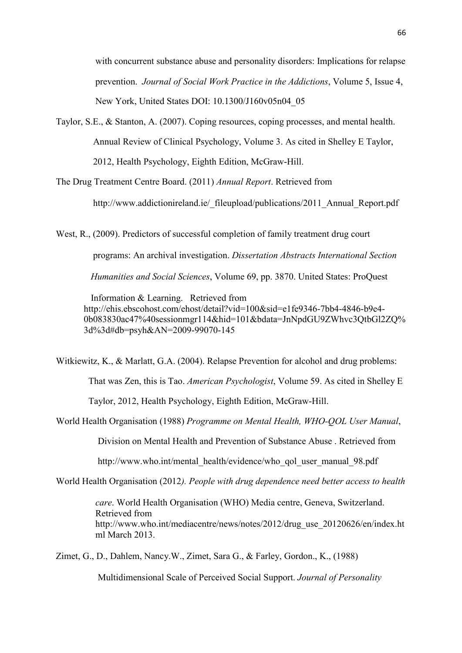with concurrent substance abuse and personality disorders: Implications for relapse prevention. *Journal of Social Work Practice in the Addictions*, Volume 5, Issue 4, New York, United States DOI: 10.1300/J160v05n04\_05

Taylor, S.E., & Stanton, A. (2007). Coping resources, coping processes, and mental health. Annual Review of Clinical Psychology, Volume 3. As cited in Shelley E Taylor, 2012, Health Psychology, Eighth Edition, McGraw-Hill.

The Drug Treatment Centre Board. (2011) *Annual Report*. Retrieved from

http://www.addictionireland.ie/\_fileupload/publications/2011\_Annual\_Report.pdf

West, R., (2009). Predictors of successful completion of family treatment drug court programs: An archival investigation. *Dissertation Abstracts International Section Humanities and Social Sciences*, Volume 69, pp. 3870. United States: ProQuest

 Information & Learning. Retrieved from http://ehis.ebscohost.com/ehost/detail?vid=100&sid=e1fe9346-7bb4-4846-b9e4- 0b083830ac47%40sessionmgr114&hid=101&bdata=JnNpdGU9ZWhvc3QtbGl2ZQ% 3d%3d#db=psyh&AN=2009-99070-145

Witkiewitz, K., & Marlatt, G.A. (2004). Relapse Prevention for alcohol and drug problems: That was Zen, this is Tao. *American Psychologist*, Volume 59. As cited in Shelley E

Taylor, 2012, Health Psychology, Eighth Edition, McGraw-Hill.

World Health Organisation (1988) *Programme on Mental Health, WHO-QOL User Manual*,

Division on Mental Health and Prevention of Substance Abuse . Retrieved from

http://www.who.int/mental\_health/evidence/who\_qol\_user\_manual\_98.pdf

World Health Organisation (2012*). People with drug dependence need better access to health* 

*care*. World Health Organisation (WHO) Media centre, Geneva, Switzerland. Retrieved from http://www.who.int/mediacentre/news/notes/2012/drug\_use\_20120626/en/index.ht ml March 2013.

Zimet, G., D., Dahlem, Nancy.W., Zimet, Sara G., & Farley, Gordon., K., (1988)

Multidimensional Scale of Perceived Social Support. *Journal of Personality*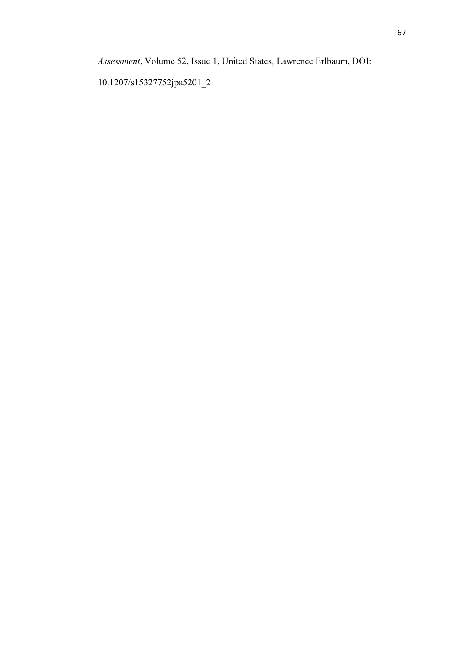*Assessment*, Volume 52, Issue 1, United States, Lawrence Erlbaum, DOI:

10.1207/s15327752jpa5201\_2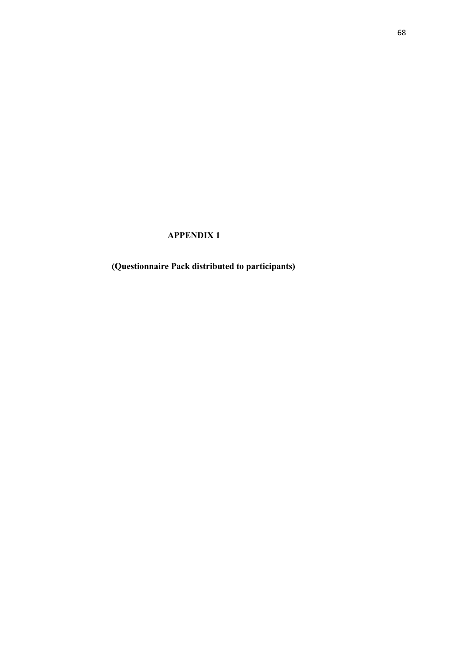## **APPENDIX 1**

**(Questionnaire Pack distributed to participants)**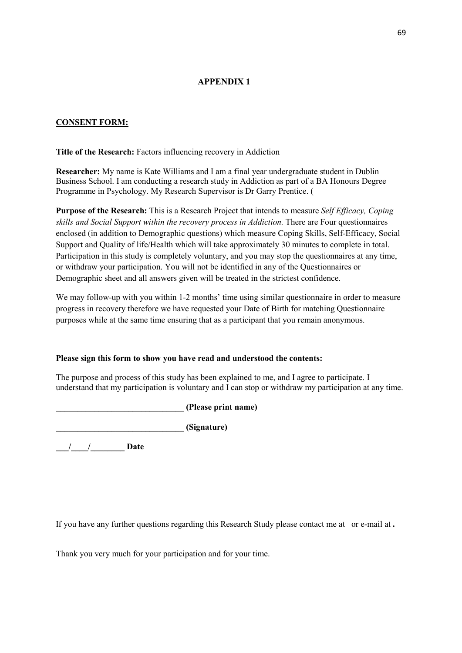## **APPENDIX 1**

## **CONSENT FORM:**

**Title of the Research:** Factors influencing recovery in Addiction

**Researcher:** My name is Kate Williams and I am a final year undergraduate student in Dublin Business School. I am conducting a research study in Addiction as part of a BA Honours Degree Programme in Psychology. My Research Supervisor is Dr Garry Prentice. (

**Purpose of the Research:** This is a Research Project that intends to measure *Self Efficacy, Coping skills and Social Support within the recovery process in Addiction.* There are Four questionnaires enclosed (in addition to Demographic questions) which measure Coping Skills, Self-Efficacy, Social Support and Quality of life/Health which will take approximately 30 minutes to complete in total. Participation in this study is completely voluntary, and you may stop the questionnaires at any time, or withdraw your participation. You will not be identified in any of the Questionnaires or Demographic sheet and all answers given will be treated in the strictest confidence.

We may follow-up with you within 1-2 months' time using similar questionnaire in order to measure progress in recovery therefore we have requested your Date of Birth for matching Questionnaire purposes while at the same time ensuring that as a participant that you remain anonymous.

#### **Please sign this form to show you have read and understood the contents:**

The purpose and process of this study has been explained to me, and I agree to participate. I understand that my participation is voluntary and I can stop or withdraw my participation at any time.

**\_\_\_\_\_\_\_\_\_\_\_\_\_\_\_\_\_\_\_\_\_\_\_\_\_\_\_\_\_\_ (Please print name)** 

**\_\_\_\_\_\_\_\_\_\_\_\_\_\_\_\_\_\_\_\_\_\_\_\_\_\_\_\_\_\_ (Signature)** 

**\_\_\_/\_\_\_\_/\_\_\_\_\_\_\_\_ Date** 

If you have any further questions regarding this Research Study please contact me at or e-mail at **.** 

Thank you very much for your participation and for your time.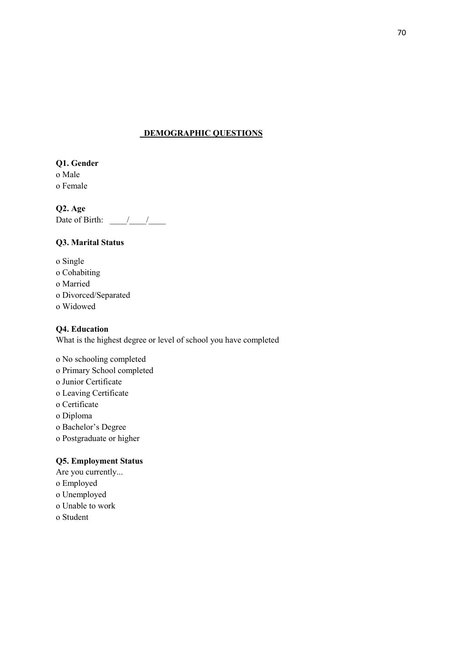## **DEMOGRAPHIC QUESTIONS**

**Q1. Gender** o Male o Female

**Q2. Age** Date of Birth:  $\frac{\sqrt{2}}{2}$ 

## **Q3. Marital Status**

o Single o Cohabiting o Married o Divorced/Separated o Widowed

## **Q4. Education**

What is the highest degree or level of school you have completed

o No schooling completed o Primary School completed o Junior Certificate o Leaving Certificate o Certificate o Diploma o Bachelor's Degree o Postgraduate or higher

## **Q5. Employment Status**

Are you currently... o Employed o Unemployed o Unable to work o Student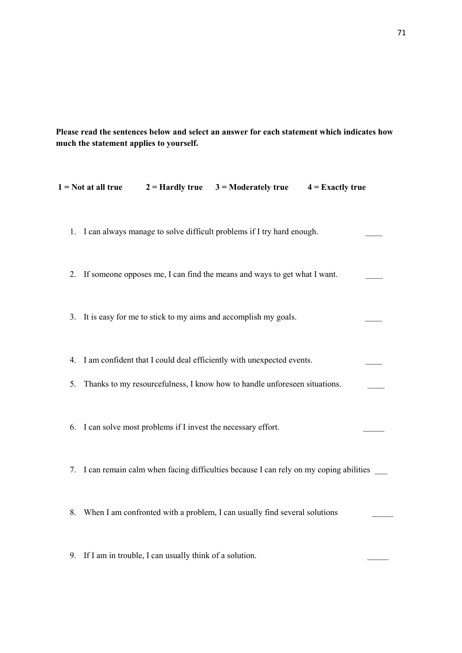**Please read the sentences below and select an answer for each statement which indicates how much the statement applies to yourself.** 

|    | $1 = Not$ at all true |                                                                | $2 =$ Hardly true $3 =$ Moderately true                                                                                                              | $4 =$ Exactly true |
|----|-----------------------|----------------------------------------------------------------|------------------------------------------------------------------------------------------------------------------------------------------------------|--------------------|
|    |                       |                                                                | 1. I can always manage to solve difficult problems if I try hard enough.                                                                             |                    |
|    |                       |                                                                | 2. If someone opposes me, I can find the means and ways to get what I want.                                                                          |                    |
|    |                       |                                                                | 3. It is easy for me to stick to my aims and accomplish my goals.                                                                                    |                    |
| 5. |                       |                                                                | 4. I am confident that I could deal efficiently with unexpected events.<br>Thanks to my resourcefulness, I know how to handle unforeseen situations. |                    |
|    |                       | 6. I can solve most problems if I invest the necessary effort. |                                                                                                                                                      |                    |
|    |                       |                                                                | 7. I can remain calm when facing difficulties because I can rely on my coping abilities                                                              |                    |
| 8. |                       |                                                                | When I am confronted with a problem, I can usually find several solutions                                                                            |                    |
|    |                       | 9. If I am in trouble, I can usually think of a solution.      |                                                                                                                                                      |                    |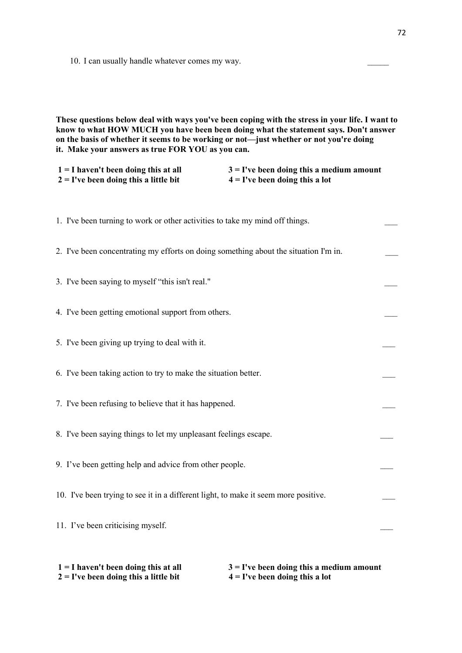10. I can usually handle whatever comes my way.

**These questions below deal with ways you've been coping with the stress in your life. I want to know to what HOW MUCH you have been been doing what the statement says. Don't answer on the basis of whether it seems to be working or not—just whether or not you're doing it. Make your answers as true FOR YOU as you can.** 

| $1 = I$ haven't been doing this at all   | $3 =$ I've been doing this a medium amount |
|------------------------------------------|--------------------------------------------|
| $2 = I'$ ve been doing this a little bit | $4 = I'$ ve been doing this a lot          |

| 1. I've been turning to work or other activities to take my mind off things.         |  |
|--------------------------------------------------------------------------------------|--|
| 2. I've been concentrating my efforts on doing something about the situation I'm in. |  |
| 3. I've been saying to myself "this isn't real."                                     |  |
| 4. I've been getting emotional support from others.                                  |  |
| 5. I've been giving up trying to deal with it.                                       |  |
| 6. I've been taking action to try to make the situation better.                      |  |
| 7. I've been refusing to believe that it has happened.                               |  |
| 8. I've been saying things to let my unpleasant feelings escape.                     |  |
| 9. I've been getting help and advice from other people.                              |  |
| 10. I've been trying to see it in a different light, to make it seem more positive.  |  |
| 11. I've been criticising myself.                                                    |  |
|                                                                                      |  |

| $1 = I$ haven't been doing this at all  | $3 =$ I've been doing this a medium amount |
|-----------------------------------------|--------------------------------------------|
| $2 =$ I've been doing this a little bit | $4 = I'$ ve been doing this a lot          |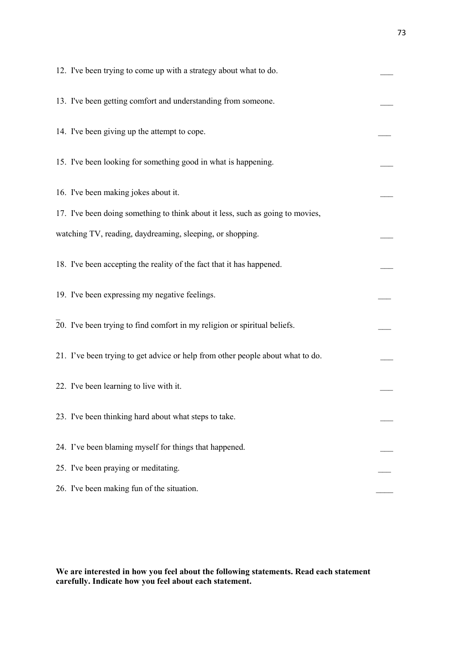| 12. I've been trying to come up with a strategy about what to do.              |  |
|--------------------------------------------------------------------------------|--|
| 13. I've been getting comfort and understanding from someone.                  |  |
| 14. I've been giving up the attempt to cope.                                   |  |
| 15. I've been looking for something good in what is happening.                 |  |
| 16. I've been making jokes about it.                                           |  |
| 17. I've been doing something to think about it less, such as going to movies, |  |
| watching TV, reading, daydreaming, sleeping, or shopping.                      |  |
| 18. I've been accepting the reality of the fact that it has happened.          |  |
| 19. I've been expressing my negative feelings.                                 |  |
| 20. I've been trying to find comfort in my religion or spiritual beliefs.      |  |
| 21. I've been trying to get advice or help from other people about what to do. |  |
| 22. I've been learning to live with it.                                        |  |
| 23. I've been thinking hard about what steps to take.                          |  |
| 24. I've been blaming myself for things that happened.                         |  |
| 25. I've been praying or meditating.                                           |  |
| 26. I've been making fun of the situation.                                     |  |

**We are interested in how you feel about the following statements. Read each statement carefully. Indicate how you feel about each statement.**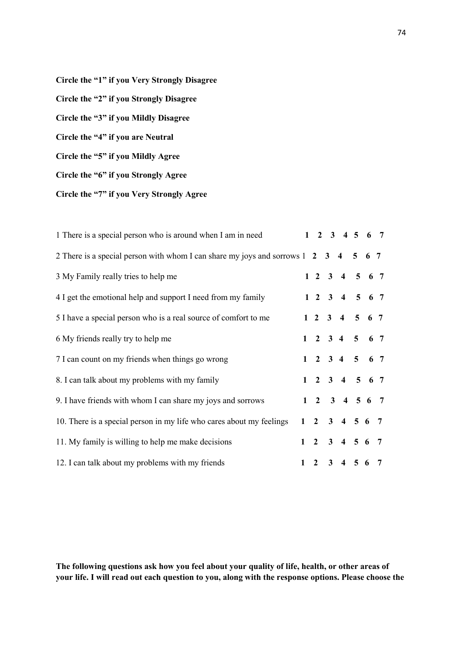**Circle the "1" if you Very Strongly Disagree Circle the "2" if you Strongly Disagree Circle the "3" if you Mildly Disagree Circle the "4" if you are Neutral Circle the "5" if you Mildly Agree Circle the "6" if you Strongly Agree** 

**Circle the "7" if you Very Strongly Agree** 

| 1 There is a special person who is around when I am in need                         |   |  | $1 \t2 \t3 \t4 \t5 \t6 \t7$ |  |  |
|-------------------------------------------------------------------------------------|---|--|-----------------------------|--|--|
| 2 There is a special person with whom I can share my joys and sorrows 1 2 3 4 5 6 7 |   |  |                             |  |  |
| 3 My Family really tries to help me                                                 |   |  | $1\ 2\ 3\ 4\ 5\ 6\ 7$       |  |  |
| 4 I get the emotional help and support I need from my family                        |   |  | 1 2 3 4 5 6 7               |  |  |
| 5 I have a special person who is a real source of comfort to me                     |   |  | $1\ 2\ 3\ 4\ 5\ 6\ 7$       |  |  |
| 6 My friends really try to help me                                                  |   |  | $1 \t2 \t3 \t4 \t5 \t6 \t7$ |  |  |
| 7 I can count on my friends when things go wrong                                    |   |  | $1 \t2 \t3 \t4 \t5 \t6 \t7$ |  |  |
| 8. I can talk about my problems with my family                                      |   |  | $1 \t2 \t3 \t4 \t5 \t6 \t7$ |  |  |
| 9. I have friends with whom I can share my joys and sorrows                         |   |  | $1 \t2 \t3 \t4 \t5 \t6 \t7$ |  |  |
| 10. There is a special person in my life who cares about my feelings                |   |  | $1 \t2 \t3 \t4 \t5 \t6 \t7$ |  |  |
| 11. My family is willing to help me make decisions                                  |   |  | $1 \t2 \t3 \t4 \t5 \t6 \t7$ |  |  |
| 12. I can talk about my problems with my friends                                    | 1 |  | 2 3 4 5 6 7                 |  |  |

**The following questions ask how you feel about your quality of life, health, or other areas of your life. I will read out each question to you, along with the response options. Please choose the**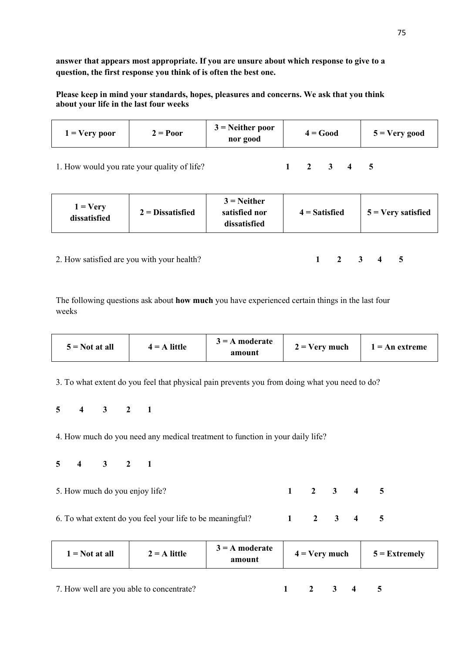**answer that appears most appropriate. If you are unsure about which response to give to a question, the first response you think of is often the best one.** 

**Please keep in mind your standards, hopes, pleasures and concerns. We ask that you think about your life in the last four weeks** 

| $\mathbf{I}$ = Very poor | $2 = Poor$ | $3$ = Neither poor<br>nor good | $4 = Good$ | $5 = V$ ery good |
|--------------------------|------------|--------------------------------|------------|------------------|
|                          |            |                                |            |                  |

1. How would you rate your quality of life? **1 2 3 4 5** 

2. How satisfied are you with your health?

| - 1<br>- | J | Δ | 5 |
|----------|---|---|---|
|----------|---|---|---|

The following questions ask about **how much** you have experienced certain things in the last four weeks

| amount | $5 = Not at all$ | $4 = A$ little | $3 = A$ moderate | $2 = \text{Very much}$ | $=$ An extreme |
|--------|------------------|----------------|------------------|------------------------|----------------|
|--------|------------------|----------------|------------------|------------------------|----------------|

3. To what extent do you feel that physical pain prevents you from doing what you need to do?

**5 4 3 2 1** 

4. How much do you need any medical treatment to function in your daily life?

**5 4 3 2 1** 

5. How much do you enjoy life? **1 2 3 4 5**

6. To what extent do you feel your life to be meaningful? **1 2 3 4 5** 

| $=$ Not at all | $2 = A$ little | $3 = A$ moderate<br>amount | $4 = Very$ much | $5 =$ Extremely |  |
|----------------|----------------|----------------------------|-----------------|-----------------|--|
|                |                |                            |                 |                 |  |

7. How well are you able to concentrate? **1 2 3 4 5**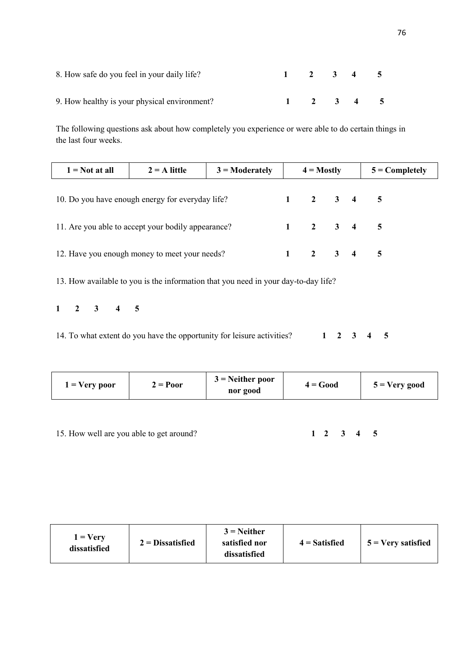| 8. How safe do you feel in your daily life?  |  | $1 \t2 \t3 \t4 \t5$ |  |
|----------------------------------------------|--|---------------------|--|
| 9. How healthy is your physical environment? |  | $1 \t2 \t3 \t4 \t5$ |  |

The following questions ask about how completely you experience or were able to do certain things in the last four weeks.

| $1 = Not at all$                                   | $2 = A$ little | $3 =$ Moderately | $4 =$ Mostly |                                     |  | $5 =$ Completely |  |  |
|----------------------------------------------------|----------------|------------------|--------------|-------------------------------------|--|------------------|--|--|
| 10. Do you have enough energy for everyday life?   |                |                  |              | $1 \t2 \t3 \t4 \t5$                 |  |                  |  |  |
| 11. Are you able to accept your bodily appearance? |                |                  |              | $1 \quad 2 \quad 3 \quad 4 \quad 5$ |  |                  |  |  |
| 12. Have you enough money to meet your needs?      |                |                  |              | 2 3 4 5                             |  |                  |  |  |

13. How available to you is the information that you need in your day-to-day life?

**1 2 3 4 5** 

14. To what extent do you have the opportunity for leisure activities? **1 2 3 4 5** 

|  | $\mathbf{1}$ = Very poor | $2 = Poor$ | $3$ = Neither poor<br>nor good | $4 = Good$ | $5 = \text{Very good}$ |
|--|--------------------------|------------|--------------------------------|------------|------------------------|
|--|--------------------------|------------|--------------------------------|------------|------------------------|

15. How well are you able to get around? **1 2 3 4 5** 

| $3$ = Neither<br>$1 = \text{V}$ ery<br>$2 =$ Dissatisfied<br>satisfied nor<br>$4 =$ Satisfied<br>dissatisfied<br>dissatisfied | $5 = \text{Very satisfied}$ |
|-------------------------------------------------------------------------------------------------------------------------------|-----------------------------|
|-------------------------------------------------------------------------------------------------------------------------------|-----------------------------|